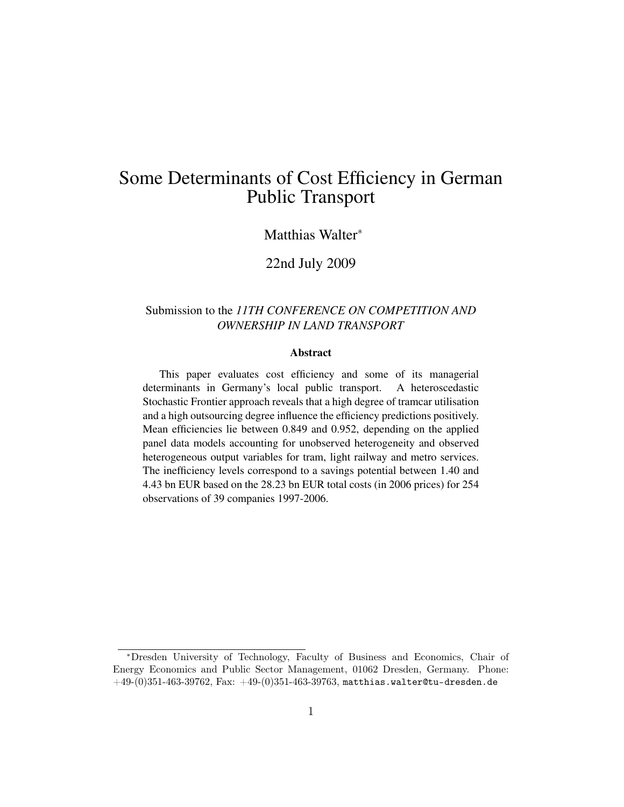# Some Determinants of Cost Efficiency in German Public Transport

#### Matthias Walter<sup>∗</sup>

#### 22nd July 2009

#### Submission to the *11TH CONFERENCE ON COMPETITION AND OWNERSHIP IN LAND TRANSPORT*

#### Abstract

This paper evaluates cost efficiency and some of its managerial determinants in Germany's local public transport. A heteroscedastic Stochastic Frontier approach reveals that a high degree of tramcar utilisation and a high outsourcing degree influence the efficiency predictions positively. Mean efficiencies lie between 0.849 and 0.952, depending on the applied panel data models accounting for unobserved heterogeneity and observed heterogeneous output variables for tram, light railway and metro services. The inefficiency levels correspond to a savings potential between 1.40 and 4.43 bn EUR based on the 28.23 bn EUR total costs (in 2006 prices) for 254 observations of 39 companies 1997-2006.

<sup>∗</sup>Dresden University of Technology, Faculty of Business and Economics, Chair of Energy Economics and Public Sector Management, 01062 Dresden, Germany. Phone:  $+49-(0)351-463-39762$ , Fax:  $+49-(0)351-463-39763$ , <matthias.walter@tu-dresden.de>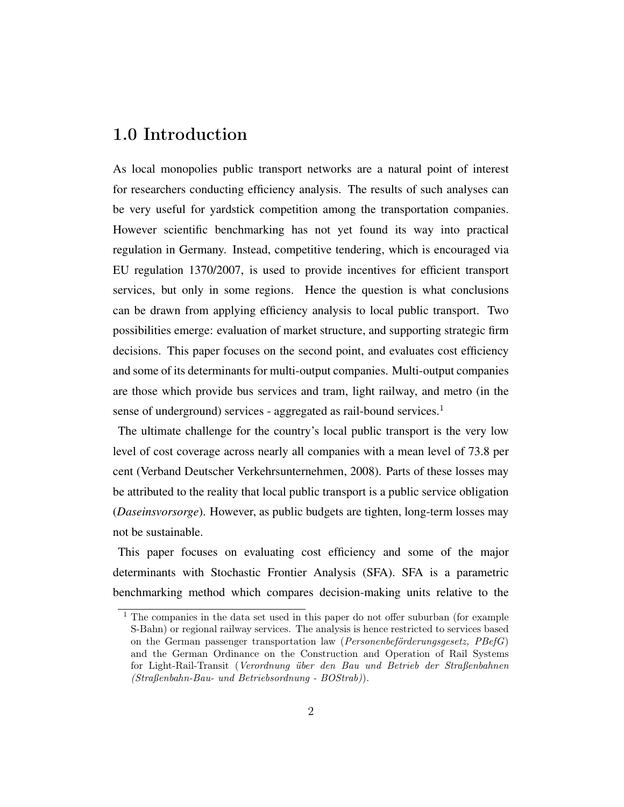### 1.0 Introduction

As local monopolies public transport networks are a natural point of interest for researchers conducting efficiency analysis. The results of such analyses can be very useful for yardstick competition among the transportation companies. However scientific benchmarking has not yet found its way into practical regulation in Germany. Instead, competitive tendering, which is encouraged via EU regulation 1370/2007, is used to provide incentives for efficient transport services, but only in some regions. Hence the question is what conclusions can be drawn from applying efficiency analysis to local public transport. Two possibilities emerge: evaluation of market structure, and supporting strategic firm decisions. This paper focuses on the second point, and evaluates cost efficiency and some of its determinants for multi-output companies. Multi-output companies are those which provide bus services and tram, light railway, and metro (in the sense of underground) services - aggregated as rail-bound services.<sup>[1](#page-1-0)</sup>

The ultimate challenge for the country's local public transport is the very low level of cost coverage across nearly all companies with a mean level of 73.8 per cent [\(Verband Deutscher Verkehrsunternehmen, 2008\)](#page-27-0). Parts of these losses may be attributed to the reality that local public transport is a public service obligation (*Daseinsvorsorge*). However, as public budgets are tighten, long-term losses may not be sustainable.

This paper focuses on evaluating cost efficiency and some of the major determinants with Stochastic Frontier Analysis (SFA). SFA is a parametric benchmarking method which compares decision-making units relative to the

<span id="page-1-0"></span><sup>&</sup>lt;sup>1</sup> The companies in the data set used in this paper do not offer suburban (for example S-Bahn) or regional railway services. The analysis is hence restricted to services based on the German passenger transportation law (Personenbeförderungsgesetz, PBefG) and the German Ordinance on the Construction and Operation of Rail Systems for Light-Rail-Transit (Verordnung über den Bau und Betrieb der Straßenbahnen (Straßenbahn-Bau- und Betriebsordnung - BOStrab)).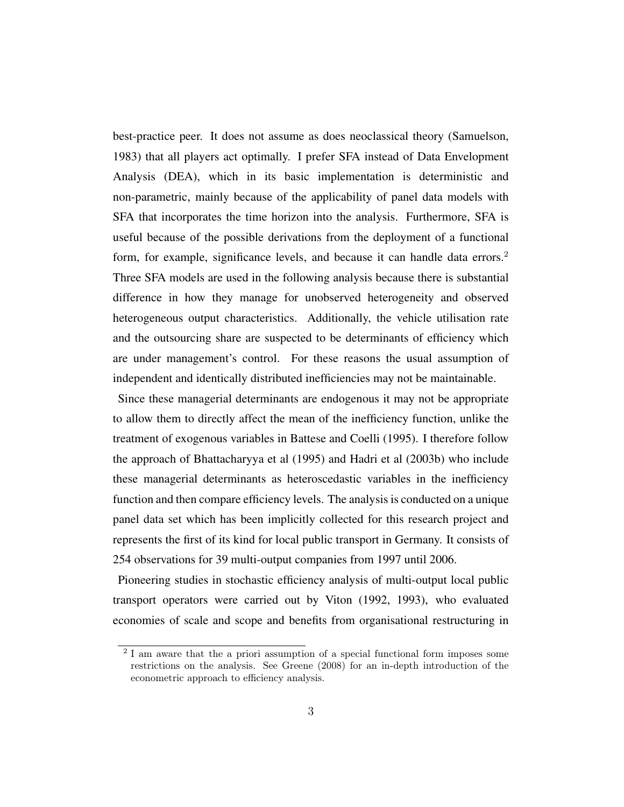best-practice peer. It does not assume as does neoclassical theory [\(Samuelson,](#page-26-0) [1983\)](#page-26-0) that all players act optimally. I prefer SFA instead of Data Envelopment Analysis (DEA), which in its basic implementation is deterministic and non-parametric, mainly because of the applicability of panel data models with SFA that incorporates the time horizon into the analysis. Furthermore, SFA is useful because of the possible derivations from the deployment of a functional form, for example, significance levels, and because it can handle data errors.<sup>[2](#page-2-0)</sup> Three SFA models are used in the following analysis because there is substantial difference in how they manage for unobserved heterogeneity and observed heterogeneous output characteristics. Additionally, the vehicle utilisation rate and the outsourcing share are suspected to be determinants of efficiency which are under management's control. For these reasons the usual assumption of independent and identically distributed inefficiencies may not be maintainable.

Since these managerial determinants are endogenous it may not be appropriate to allow them to directly affect the mean of the inefficiency function, unlike the treatment of exogenous variables in [Battese and Coelli](#page-22-0) [\(1995\)](#page-22-0). I therefore follow the approach of [Bhattacharyya et al](#page-23-0) [\(1995\)](#page-23-0) and [Hadri et al](#page-25-0) [\(2003b\)](#page-25-0) who include these managerial determinants as heteroscedastic variables in the inefficiency function and then compare efficiency levels. The analysis is conducted on a unique panel data set which has been implicitly collected for this research project and represents the first of its kind for local public transport in Germany. It consists of 254 observations for 39 multi-output companies from 1997 until 2006.

Pioneering studies in stochastic efficiency analysis of multi-output local public transport operators were carried out by [Viton](#page-27-1) [\(1992,](#page-27-1) [1993\)](#page-27-2), who evaluated economies of scale and scope and benefits from organisational restructuring in

<span id="page-2-0"></span><sup>2</sup> I am aware that the a priori assumption of a special functional form imposes some restrictions on the analysis. See [Greene](#page-24-0) [\(2008\)](#page-24-0) for an in-depth introduction of the econometric approach to efficiency analysis.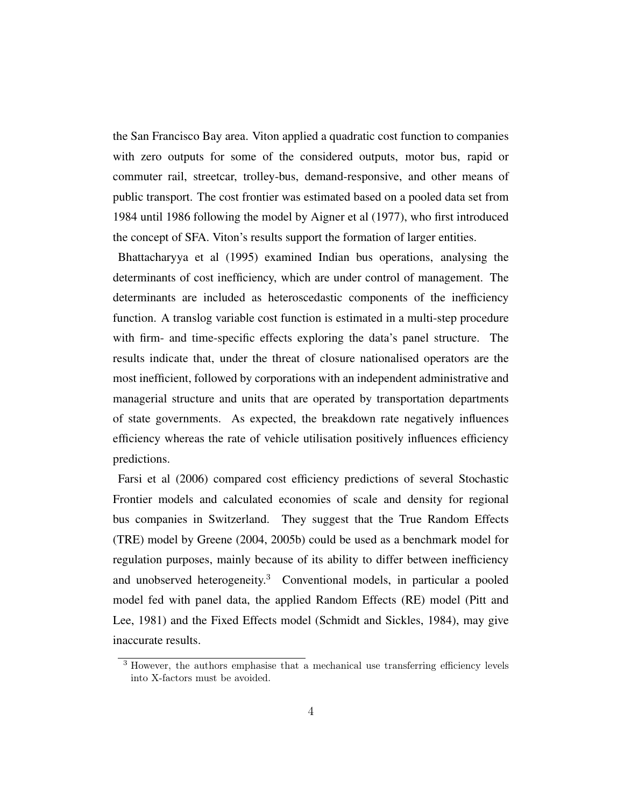the San Francisco Bay area. Viton applied a quadratic cost function to companies with zero outputs for some of the considered outputs, motor bus, rapid or commuter rail, streetcar, trolley-bus, demand-responsive, and other means of public transport. The cost frontier was estimated based on a pooled data set from 1984 until 1986 following the model by [Aigner et al](#page-22-1) [\(1977\)](#page-22-1), who first introduced the concept of SFA. Viton's results support the formation of larger entities.

[Bhattacharyya et al](#page-23-0) [\(1995\)](#page-23-0) examined Indian bus operations, analysing the determinants of cost inefficiency, which are under control of management. The determinants are included as heteroscedastic components of the inefficiency function. A translog variable cost function is estimated in a multi-step procedure with firm- and time-specific effects exploring the data's panel structure. The results indicate that, under the threat of closure nationalised operators are the most inefficient, followed by corporations with an independent administrative and managerial structure and units that are operated by transportation departments of state governments. As expected, the breakdown rate negatively influences efficiency whereas the rate of vehicle utilisation positively influences efficiency predictions.

[Farsi et al](#page-24-1) [\(2006\)](#page-24-1) compared cost efficiency predictions of several Stochastic Frontier models and calculated economies of scale and density for regional bus companies in Switzerland. They suggest that the True Random Effects (TRE) model by [Greene](#page-24-2) [\(2004,](#page-24-2) [2005b\)](#page-24-3) could be used as a benchmark model for regulation purposes, mainly because of its ability to differ between inefficiency and unobserved heterogeneity.[3](#page-3-0) Conventional models, in particular a pooled model fed with panel data, the applied Random Effects (RE) model [\(Pitt and](#page-26-1) [Lee, 1981\)](#page-26-1) and the Fixed Effects model [\(Schmidt and Sickles, 1984\)](#page-26-2), may give inaccurate results.

<span id="page-3-0"></span><sup>3</sup> However, the authors emphasise that a mechanical use transferring efficiency levels into X-factors must be avoided.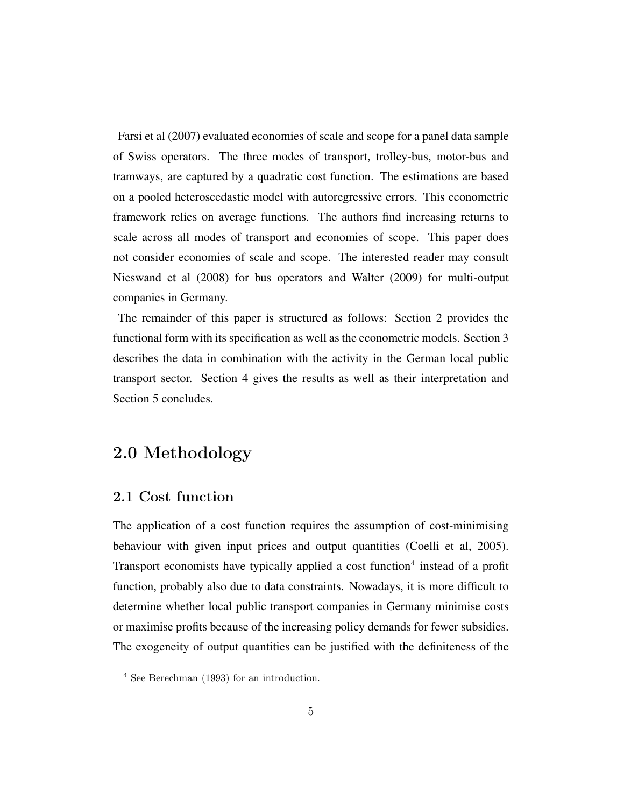[Farsi et al](#page-24-4) [\(2007\)](#page-24-4) evaluated economies of scale and scope for a panel data sample of Swiss operators. The three modes of transport, trolley-bus, motor-bus and tramways, are captured by a quadratic cost function. The estimations are based on a pooled heteroscedastic model with autoregressive errors. This econometric framework relies on average functions. The authors find increasing returns to scale across all modes of transport and economies of scope. This paper does not consider economies of scale and scope. The interested reader may consult [Nieswand et al](#page-26-3) [\(2008\)](#page-26-3) for bus operators and [Walter](#page-27-3) [\(2009\)](#page-27-3) for multi-output companies in Germany.

The remainder of this paper is structured as follows: Section 2 provides the functional form with its specification as well as the econometric models. Section 3 describes the data in combination with the activity in the German local public transport sector. Section 4 gives the results as well as their interpretation and Section 5 concludes.

## 2.0 Methodology

### 2.1 Cost function

The application of a cost function requires the assumption of cost-minimising behaviour with given input prices and output quantities [\(Coelli et al, 2005\)](#page-23-1). Transport economists have typically applied a cost function<sup>[4](#page-4-0)</sup> instead of a profit function, probably also due to data constraints. Nowadays, it is more difficult to determine whether local public transport companies in Germany minimise costs or maximise profits because of the increasing policy demands for fewer subsidies. The exogeneity of output quantities can be justified with the definiteness of the

<span id="page-4-0"></span><sup>4</sup> See [Berechman](#page-22-2) [\(1993\)](#page-22-2) for an introduction.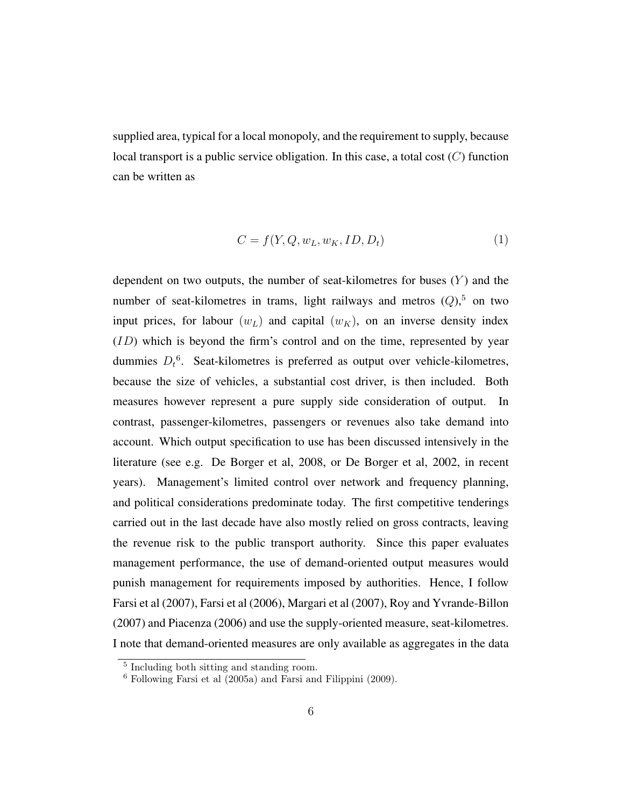supplied area, typical for a local monopoly, and the requirement to supply, because local transport is a public service obligation. In this case, a total cost  $(C)$  function can be written as

$$
C = f(Y, Q, w_L, w_K, ID, D_t)
$$
\n<sup>(1)</sup>

dependent on two outputs, the number of seat-kilometres for buses  $(Y)$  and the number of seat-kilometres in trams, light railways and metros  $(Q)$ ,<sup>[5](#page-5-0)</sup> on two input prices, for labour  $(w_L)$  and capital  $(w_K)$ , on an inverse density index  $(ID)$  which is beyond the firm's control and on the time, represented by year dummies  $D_t$ <sup>[6](#page-5-1)</sup>. Seat-kilometres is preferred as output over vehicle-kilometres, because the size of vehicles, a substantial cost driver, is then included. Both measures however represent a pure supply side consideration of output. In contrast, passenger-kilometres, passengers or revenues also take demand into account. Which output specification to use has been discussed intensively in the literature (see e.g. [De Borger et al, 2008,](#page-23-2) or [De Borger et al, 2002,](#page-23-3) in recent years). Management's limited control over network and frequency planning, and political considerations predominate today. The first competitive tenderings carried out in the last decade have also mostly relied on gross contracts, leaving the revenue risk to the public transport authority. Since this paper evaluates management performance, the use of demand-oriented output measures would punish management for requirements imposed by authorities. Hence, I follow [Farsi et al](#page-24-4) [\(2007\)](#page-24-4), [Farsi et al](#page-24-1) [\(2006\)](#page-24-1), [Margari et al](#page-25-1) [\(2007\)](#page-25-1), [Roy and Yvrande-Billon](#page-26-4) [\(2007\)](#page-26-4) and [Piacenza](#page-26-5) [\(2006\)](#page-26-5) and use the supply-oriented measure, seat-kilometres. I note that demand-oriented measures are only available as aggregates in the data

<span id="page-5-0"></span><sup>5</sup> Including both sitting and standing room.

<span id="page-5-1"></span> $6$  Following [Farsi et al](#page-24-5) [\(2005a\)](#page-24-5) and [Farsi and Filippini](#page-23-4) [\(2009\)](#page-23-4).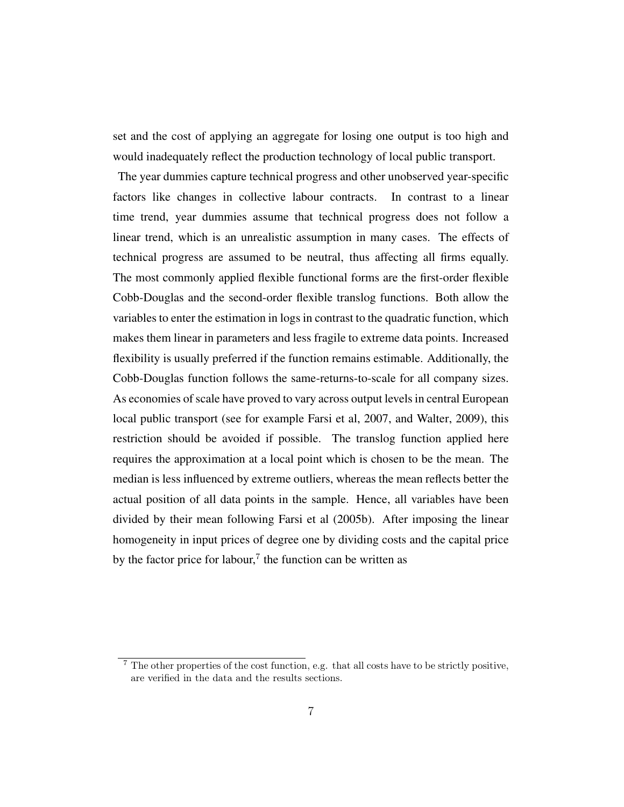set and the cost of applying an aggregate for losing one output is too high and would inadequately reflect the production technology of local public transport.

The year dummies capture technical progress and other unobserved year-specific factors like changes in collective labour contracts. In contrast to a linear time trend, year dummies assume that technical progress does not follow a linear trend, which is an unrealistic assumption in many cases. The effects of technical progress are assumed to be neutral, thus affecting all firms equally. The most commonly applied flexible functional forms are the first-order flexible Cobb-Douglas and the second-order flexible translog functions. Both allow the variables to enter the estimation in logs in contrast to the quadratic function, which makes them linear in parameters and less fragile to extreme data points. Increased flexibility is usually preferred if the function remains estimable. Additionally, the Cobb-Douglas function follows the same-returns-to-scale for all company sizes. As economies of scale have proved to vary across output levels in central European local public transport (see for example [Farsi et al, 2007,](#page-24-4) and [Walter, 2009\)](#page-27-3), this restriction should be avoided if possible. The translog function applied here requires the approximation at a local point which is chosen to be the mean. The median is less influenced by extreme outliers, whereas the mean reflects better the actual position of all data points in the sample. Hence, all variables have been divided by their mean following [Farsi et al](#page-24-6) [\(2005b\)](#page-24-6). After imposing the linear homogeneity in input prices of degree one by dividing costs and the capital price by the factor price for labour,<sup>[7](#page-6-0)</sup> the function can be written as

<span id="page-6-0"></span><sup>7</sup> The other properties of the cost function, e.g. that all costs have to be strictly positive, are verified in the data and the results sections.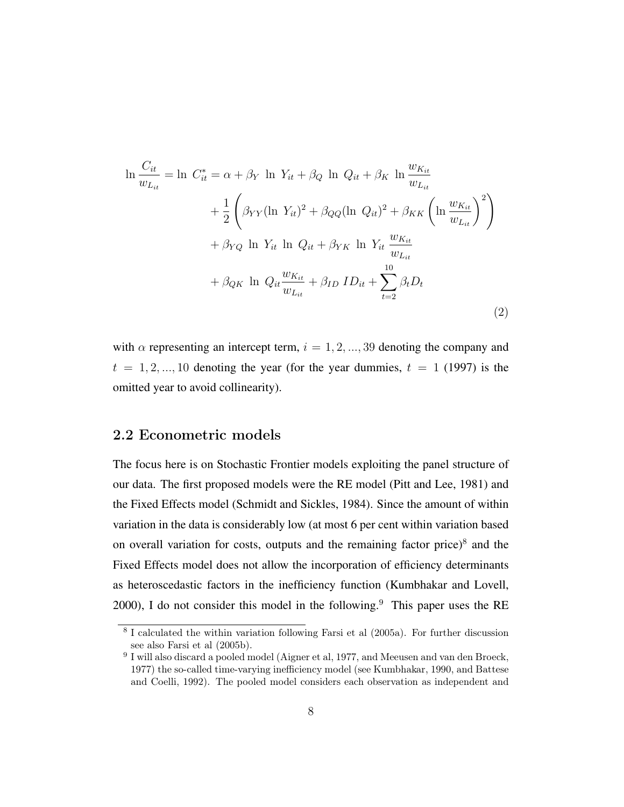<span id="page-7-2"></span>
$$
\ln \frac{C_{it}}{w_{Li}} = \ln C_{it}^{*} = \alpha + \beta_{Y} \ln Y_{it} + \beta_{Q} \ln Q_{it} + \beta_{K} \ln \frac{w_{K_{it}}}{w_{Li}}
$$
  
+ 
$$
\frac{1}{2} \left( \beta_{YY} (\ln Y_{it})^{2} + \beta_{QQ} (\ln Q_{it})^{2} + \beta_{KK} \left( \ln \frac{w_{K_{it}}}{w_{Li}} \right)^{2} \right)
$$
  
+ 
$$
\beta_{YQ} \ln Y_{it} \ln Q_{it} + \beta_{YK} \ln Y_{it} \frac{w_{K_{it}}}{w_{Li}}
$$
  
+ 
$$
\beta_{QK} \ln Q_{it} \frac{w_{K_{it}}}{w_{Li}} + \beta_{ID} ID_{it} + \sum_{t=2}^{10} \beta_{t} D_{t}
$$
  
(2)

with  $\alpha$  representing an intercept term,  $i = 1, 2, ..., 39$  denoting the company and  $t = 1, 2, ..., 10$  denoting the year (for the year dummies,  $t = 1$  (1997) is the omitted year to avoid collinearity).

#### 2.2 Econometric models

The focus here is on Stochastic Frontier models exploiting the panel structure of our data. The first proposed models were the RE model [\(Pitt and Lee, 1981\)](#page-26-1) and the Fixed Effects model [\(Schmidt and Sickles, 1984\)](#page-26-2). Since the amount of within variation in the data is considerably low (at most 6 per cent within variation based on overall variation for costs, outputs and the remaining factor price) $8$  and the Fixed Effects model does not allow the incorporation of efficiency determinants as heteroscedastic factors in the inefficiency function [\(Kumbhakar and Lovell,](#page-25-2)  $2000$ ), I do not consider this model in the following.<sup>[9](#page-7-1)</sup> This paper uses the RE

<span id="page-7-0"></span><sup>8</sup> I calculated the within variation following [Farsi et al](#page-24-5) [\(2005a\)](#page-24-5). For further discussion see also [Farsi et al](#page-24-6) [\(2005b\)](#page-24-6).

<span id="page-7-1"></span><sup>&</sup>lt;sup>9</sup> I will also discard a pooled model [\(Aigner et al, 1977,](#page-22-1) and [Meeusen and van den Broeck,](#page-25-3) [1977\)](#page-25-3) the so-called time-varying inefficiency model (see [Kumbhakar, 1990,](#page-25-4) and [Battese](#page-22-3) [and Coelli, 1992\)](#page-22-3). The pooled model considers each observation as independent and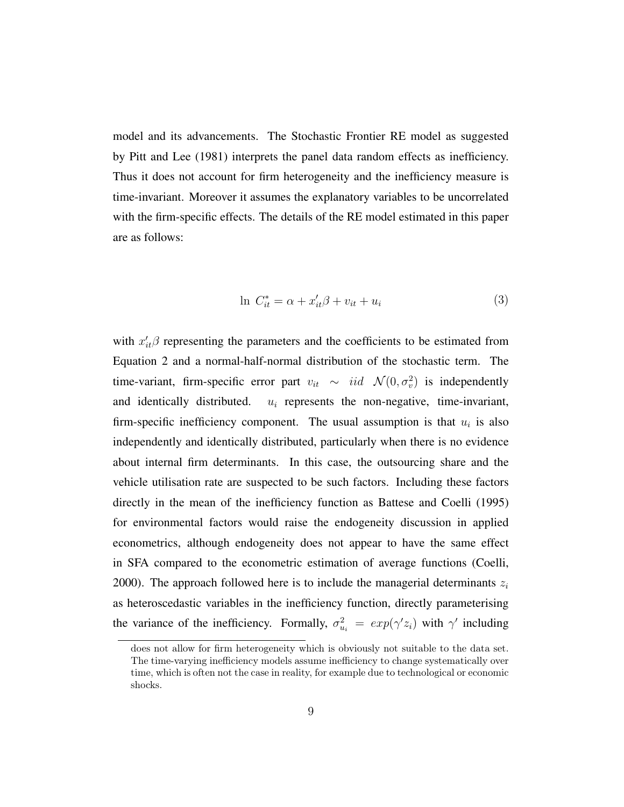model and its advancements. The Stochastic Frontier RE model as suggested by [Pitt and Lee](#page-26-1) [\(1981\)](#page-26-1) interprets the panel data random effects as inefficiency. Thus it does not account for firm heterogeneity and the inefficiency measure is time-invariant. Moreover it assumes the explanatory variables to be uncorrelated with the firm-specific effects. The details of the RE model estimated in this paper are as follows:

$$
\ln C_{it}^* = \alpha + x_{it}'\beta + v_{it} + u_i \tag{3}
$$

with  $x'_{it}$  $\beta$  representing the parameters and the coefficients to be estimated from Equation [2](#page-7-2) and a normal-half-normal distribution of the stochastic term. The time-variant, firm-specific error part  $v_{it} \sim \text{iid}$   $\mathcal{N}(0, \sigma_v^2)$  is independently and identically distributed.  $u_i$  represents the non-negative, time-invariant, firm-specific inefficiency component. The usual assumption is that  $u_i$  is also independently and identically distributed, particularly when there is no evidence about internal firm determinants. In this case, the outsourcing share and the vehicle utilisation rate are suspected to be such factors. Including these factors directly in the mean of the inefficiency function as [Battese and Coelli](#page-22-0) [\(1995\)](#page-22-0) for environmental factors would raise the endogeneity discussion in applied econometrics, although endogeneity does not appear to have the same effect in SFA compared to the econometric estimation of average functions [\(Coelli,](#page-23-5) [2000\)](#page-23-5). The approach followed here is to include the managerial determinants  $z_i$ as heteroscedastic variables in the inefficiency function, directly parameterising the variance of the inefficiency. Formally,  $\sigma_{u_i}^2 = exp(\gamma' z_i)$  with  $\gamma'$  including

does not allow for firm heterogeneity which is obviously not suitable to the data set. The time-varying inefficiency models assume inefficiency to change systematically over time, which is often not the case in reality, for example due to technological or economic shocks.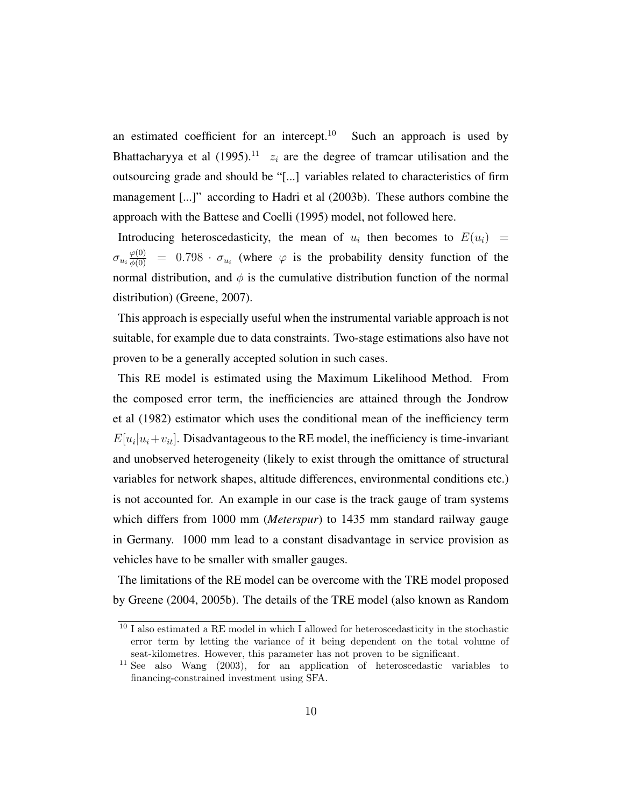an estimated coefficient for an intercept. $10$  Such an approach is used by [Bhattacharyya et al](#page-23-0) [\(1995\)](#page-23-0).<sup>[11](#page-9-1)</sup>  $z_i$  are the degree of tramcar utilisation and the outsourcing grade and should be "[...] variables related to characteristics of firm management [...]" according to [Hadri et al](#page-25-0) [\(2003b\)](#page-25-0). These authors combine the approach with the [Battese and Coelli](#page-22-0) [\(1995\)](#page-22-0) model, not followed here.

Introducing heteroscedasticity, the mean of  $u_i$  then becomes to  $E(u_i)$  =  $\sigma_{u_i} \frac{\varphi(0)}{\phi(0)} = 0.798 \cdot \sigma_{u_i}$  (where  $\varphi$  is the probability density function of the normal distribution, and  $\phi$  is the cumulative distribution function of the normal distribution) [\(Greene, 2007\)](#page-24-7).

This approach is especially useful when the instrumental variable approach is not suitable, for example due to data constraints. Two-stage estimations also have not proven to be a generally accepted solution in such cases.

This RE model is estimated using the Maximum Likelihood Method. From the composed error term, the inefficiencies are attained through the [Jondrow](#page-25-5) [et al](#page-25-5) [\(1982\)](#page-25-5) estimator which uses the conditional mean of the inefficiency term  $E[u_i|u_i+v_{it}]$ . Disadvantageous to the RE model, the inefficiency is time-invariant and unobserved heterogeneity (likely to exist through the omittance of structural variables for network shapes, altitude differences, environmental conditions etc.) is not accounted for. An example in our case is the track gauge of tram systems which differs from 1000 mm (*Meterspur*) to 1435 mm standard railway gauge in Germany. 1000 mm lead to a constant disadvantage in service provision as vehicles have to be smaller with smaller gauges.

The limitations of the RE model can be overcome with the TRE model proposed by [Greene](#page-24-2) [\(2004,](#page-24-2) [2005b\)](#page-24-3). The details of the TRE model (also known as Random

<span id="page-9-0"></span> $^{10}$  I also estimated a RE model in which I allowed for heteroscedasticity in the stochastic error term by letting the variance of it being dependent on the total volume of seat-kilometres. However, this parameter has not proven to be significant.

<span id="page-9-1"></span><sup>11</sup> See also [Wang](#page-27-4) [\(2003\)](#page-27-4), for an application of heteroscedastic variables to financing-constrained investment using SFA.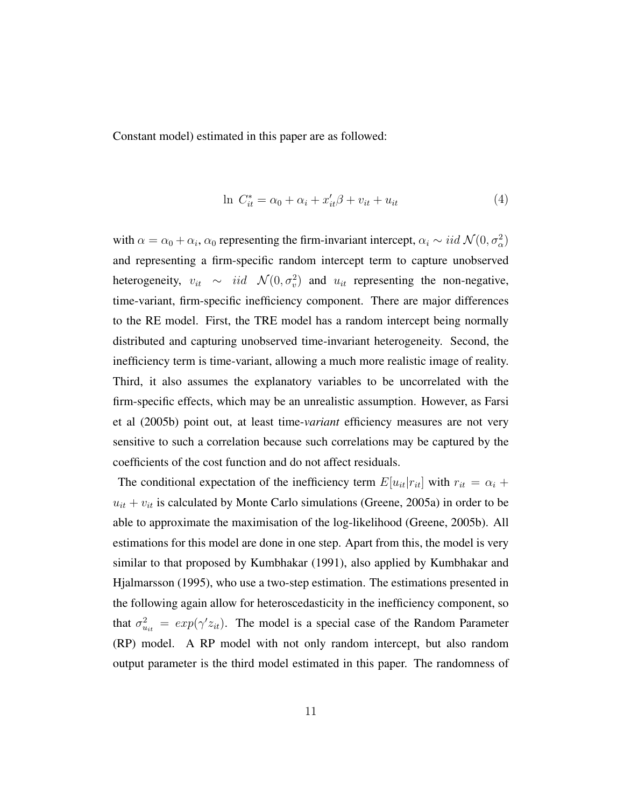Constant model) estimated in this paper are as followed:

$$
\ln C_{it}^* = \alpha_0 + \alpha_i + x_{it}'\beta + v_{it} + u_{it} \tag{4}
$$

with  $\alpha = \alpha_0 + \alpha_i$ ,  $\alpha_0$  representing the firm-invariant intercept,  $\alpha_i \sim iid \mathcal{N}(0, \sigma_{\alpha}^2)$ and representing a firm-specific random intercept term to capture unobserved heterogeneity,  $v_{it} \sim iid \mathcal{N}(0, \sigma_v^2)$  and  $u_{it}$  representing the non-negative, time-variant, firm-specific inefficiency component. There are major differences to the RE model. First, the TRE model has a random intercept being normally distributed and capturing unobserved time-invariant heterogeneity. Second, the inefficiency term is time-variant, allowing a much more realistic image of reality. Third, it also assumes the explanatory variables to be uncorrelated with the firm-specific effects, which may be an unrealistic assumption. However, as [Farsi](#page-24-6) [et al](#page-24-6) [\(2005b\)](#page-24-6) point out, at least time-*variant* efficiency measures are not very sensitive to such a correlation because such correlations may be captured by the coefficients of the cost function and do not affect residuals.

The conditional expectation of the inefficiency term  $E[u_{it}|r_{it}]$  with  $r_{it} = \alpha_i + \alpha_i$  $u_{it} + v_{it}$  is calculated by Monte Carlo simulations [\(Greene, 2005a\)](#page-24-8) in order to be able to approximate the maximisation of the log-likelihood [\(Greene, 2005b\)](#page-24-3). All estimations for this model are done in one step. Apart from this, the model is very similar to that proposed by [Kumbhakar](#page-25-6) [\(1991\)](#page-25-6), also applied by [Kumbhakar and](#page-25-7) [Hjalmarsson](#page-25-7) [\(1995\)](#page-25-7), who use a two-step estimation. The estimations presented in the following again allow for heteroscedasticity in the inefficiency component, so that  $\sigma_{u_{it}}^2 = exp(\gamma' z_{it})$ . The model is a special case of the Random Parameter (RP) model. A RP model with not only random intercept, but also random output parameter is the third model estimated in this paper. The randomness of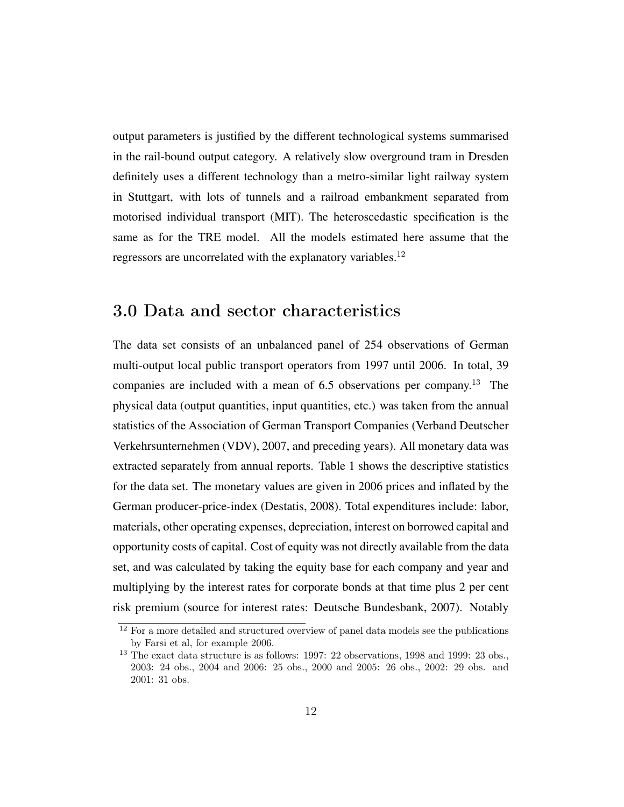output parameters is justified by the different technological systems summarised in the rail-bound output category. A relatively slow overground tram in Dresden definitely uses a different technology than a metro-similar light railway system in Stuttgart, with lots of tunnels and a railroad embankment separated from motorised individual transport (MIT). The heteroscedastic specification is the same as for the TRE model. All the models estimated here assume that the regressors are uncorrelated with the explanatory variables.<sup>[12](#page-11-0)</sup>

### 3.0 Data and sector characteristics

The data set consists of an unbalanced panel of 254 observations of German multi-output local public transport operators from 1997 until 2006. In total, 39 companies are included with a mean of  $6.5$  observations per company.<sup>[13](#page-11-1)</sup> The physical data (output quantities, input quantities, etc.) was taken from the annual statistics of the Association of German Transport Companies [\(Verband Deutscher](#page-26-6) [Verkehrsunternehmen](#page-26-6) (VDV), [2007,](#page-26-6) and preceding years). All monetary data was extracted separately from annual reports. Table [1](#page-28-0) shows the descriptive statistics for the data set. The monetary values are given in 2006 prices and inflated by the German producer-price-index [\(Destatis, 2008\)](#page-23-6). Total expenditures include: labor, materials, other operating expenses, depreciation, interest on borrowed capital and opportunity costs of capital. Cost of equity was not directly available from the data set, and was calculated by taking the equity base for each company and year and multiplying by the interest rates for corporate bonds at that time plus 2 per cent risk premium (source for interest rates: [Deutsche Bundesbank, 2007\)](#page-23-7). Notably

<span id="page-11-0"></span> $^{12}$  For a more detailed and structured overview of panel data models see the publications by [Farsi et al,](#page-24-1) for example [2006.](#page-24-1)

<span id="page-11-1"></span><sup>13</sup> The exact data structure is as follows: 1997: 22 observations, 1998 and 1999: 23 obs., 2003: 24 obs., 2004 and 2006: 25 obs., 2000 and 2005: 26 obs., 2002: 29 obs. and 2001: 31 obs.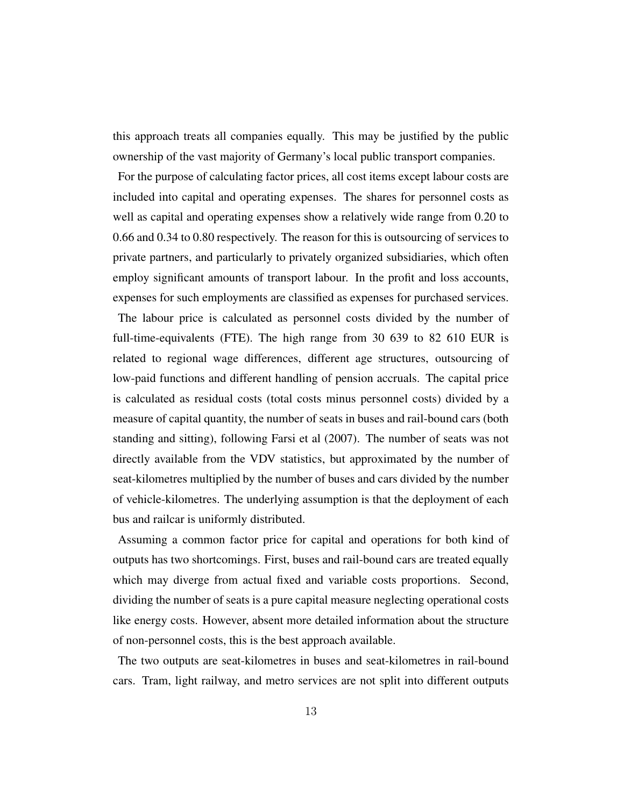this approach treats all companies equally. This may be justified by the public ownership of the vast majority of Germany's local public transport companies.

For the purpose of calculating factor prices, all cost items except labour costs are included into capital and operating expenses. The shares for personnel costs as well as capital and operating expenses show a relatively wide range from 0.20 to 0.66 and 0.34 to 0.80 respectively. The reason for this is outsourcing of services to private partners, and particularly to privately organized subsidiaries, which often employ significant amounts of transport labour. In the profit and loss accounts, expenses for such employments are classified as expenses for purchased services. The labour price is calculated as personnel costs divided by the number of full-time-equivalents (FTE). The high range from 30 639 to 82 610 EUR is related to regional wage differences, different age structures, outsourcing of low-paid functions and different handling of pension accruals. The capital price is calculated as residual costs (total costs minus personnel costs) divided by a measure of capital quantity, the number of seats in buses and rail-bound cars (both standing and sitting), following [Farsi et al](#page-24-4) [\(2007\)](#page-24-4). The number of seats was not directly available from the VDV statistics, but approximated by the number of seat-kilometres multiplied by the number of buses and cars divided by the number of vehicle-kilometres. The underlying assumption is that the deployment of each bus and railcar is uniformly distributed.

Assuming a common factor price for capital and operations for both kind of outputs has two shortcomings. First, buses and rail-bound cars are treated equally which may diverge from actual fixed and variable costs proportions. Second, dividing the number of seats is a pure capital measure neglecting operational costs like energy costs. However, absent more detailed information about the structure of non-personnel costs, this is the best approach available.

The two outputs are seat-kilometres in buses and seat-kilometres in rail-bound cars. Tram, light railway, and metro services are not split into different outputs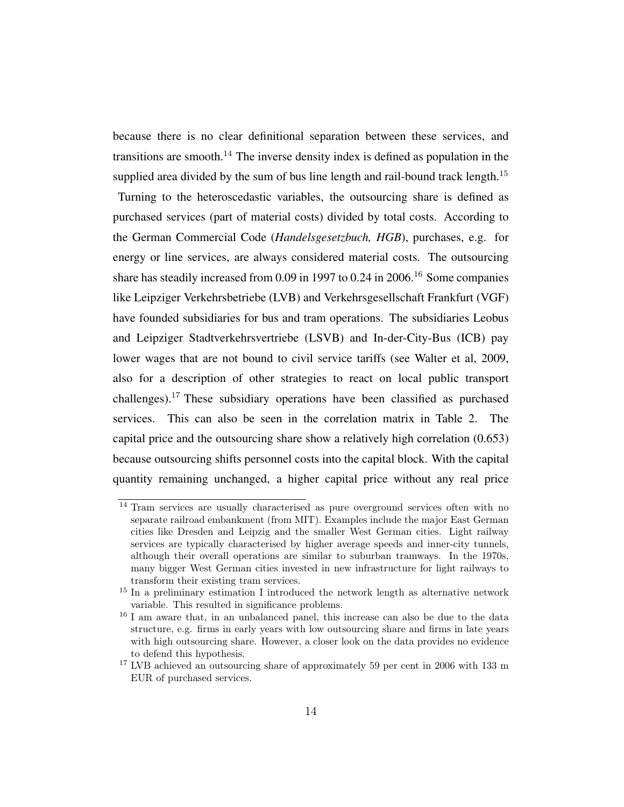because there is no clear definitional separation between these services, and transitions are smooth.<sup>[14](#page-13-0)</sup> The inverse density index is defined as population in the supplied area divided by the sum of bus line length and rail-bound track length.<sup>[15](#page-13-1)</sup>

Turning to the heteroscedastic variables, the outsourcing share is defined as purchased services (part of material costs) divided by total costs. According to the German Commercial Code (*Handelsgesetzbuch, HGB*), purchases, e.g. for energy or line services, are always considered material costs. The outsourcing share has steadily increased from 0.09 in 1997 to 0.24 in 2006.<sup>[16](#page-13-2)</sup> Some companies like Leipziger Verkehrsbetriebe (LVB) and Verkehrsgesellschaft Frankfurt (VGF) have founded subsidiaries for bus and tram operations. The subsidiaries Leobus and Leipziger Stadtverkehrsvertriebe (LSVB) and In-der-City-Bus (ICB) pay lower wages that are not bound to civil service tariffs (see [Walter et al, 2009,](#page-27-5) also for a description of other strategies to react on local public transport challenges).[17](#page-13-3) These subsidiary operations have been classified as purchased services. This can also be seen in the correlation matrix in Table [2.](#page-29-0) The capital price and the outsourcing share show a relatively high correlation (0.653) because outsourcing shifts personnel costs into the capital block. With the capital quantity remaining unchanged, a higher capital price without any real price

<span id="page-13-0"></span><sup>14</sup> Tram services are usually characterised as pure overground services often with no separate railroad embankment (from MIT). Examples include the major East German cities like Dresden and Leipzig and the smaller West German cities. Light railway services are typically characterised by higher average speeds and inner-city tunnels, although their overall operations are similar to suburban tramways. In the 1970s, many bigger West German cities invested in new infrastructure for light railways to transform their existing tram services.

<span id="page-13-1"></span><sup>&</sup>lt;sup>15</sup> In a preliminary estimation I introduced the network length as alternative network variable. This resulted in significance problems.

<span id="page-13-2"></span><sup>16</sup> I am aware that, in an unbalanced panel, this increase can also be due to the data structure, e.g. firms in early years with low outsourcing share and firms in late years with high outsourcing share. However, a closer look on the data provides no evidence to defend this hypothesis.

<span id="page-13-3"></span> $^{17}$  LVB achieved an outsourcing share of approximately 59 per cent in 2006 with 133 m  $\,$ EUR of purchased services.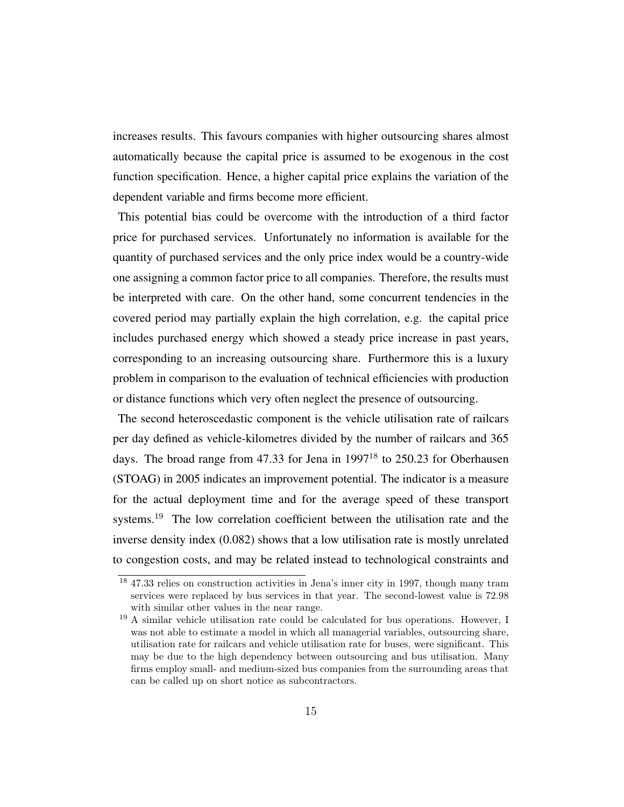increases results. This favours companies with higher outsourcing shares almost automatically because the capital price is assumed to be exogenous in the cost function specification. Hence, a higher capital price explains the variation of the dependent variable and firms become more efficient.

This potential bias could be overcome with the introduction of a third factor price for purchased services. Unfortunately no information is available for the quantity of purchased services and the only price index would be a country-wide one assigning a common factor price to all companies. Therefore, the results must be interpreted with care. On the other hand, some concurrent tendencies in the covered period may partially explain the high correlation, e.g. the capital price includes purchased energy which showed a steady price increase in past years, corresponding to an increasing outsourcing share. Furthermore this is a luxury problem in comparison to the evaluation of technical efficiencies with production or distance functions which very often neglect the presence of outsourcing.

The second heteroscedastic component is the vehicle utilisation rate of railcars per day defined as vehicle-kilometres divided by the number of railcars and 365 days. The broad range from 47.33 for Jena in 1997<sup>[18](#page-14-0)</sup> to 250.23 for Oberhausen (STOAG) in 2005 indicates an improvement potential. The indicator is a measure for the actual deployment time and for the average speed of these transport systems.<sup>[19](#page-14-1)</sup> The low correlation coefficient between the utilisation rate and the inverse density index (0.082) shows that a low utilisation rate is mostly unrelated to congestion costs, and may be related instead to technological constraints and

<span id="page-14-0"></span><sup>18</sup> 47.33 relies on construction activities in Jena's inner city in 1997, though many tram services were replaced by bus services in that year. The second-lowest value is 72.98 with similar other values in the near range.

<span id="page-14-1"></span><sup>19</sup> A similar vehicle utilisation rate could be calculated for bus operations. However, I was not able to estimate a model in which all managerial variables, outsourcing share, utilisation rate for railcars and vehicle utilisation rate for buses, were significant. This may be due to the high dependency between outsourcing and bus utilisation. Many firms employ small- and medium-sized bus companies from the surrounding areas that can be called up on short notice as subcontractors.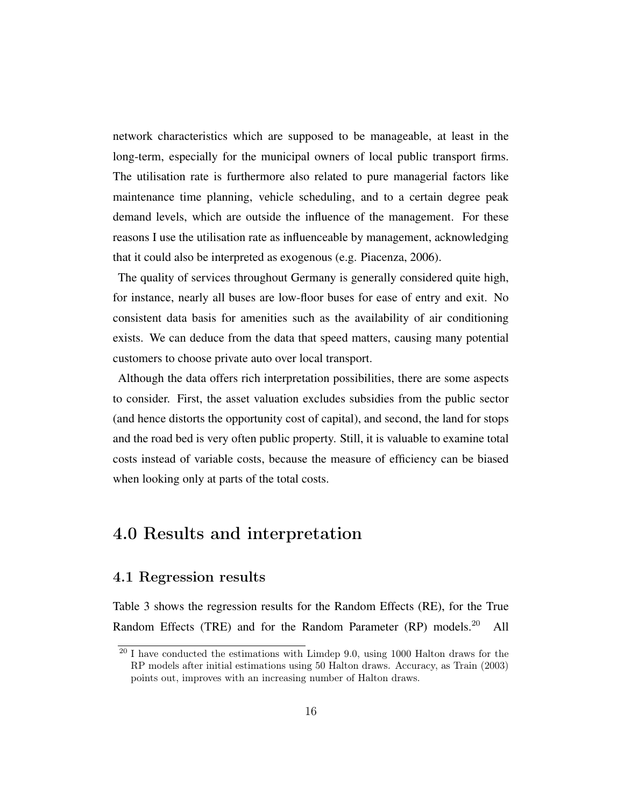network characteristics which are supposed to be manageable, at least in the long-term, especially for the municipal owners of local public transport firms. The utilisation rate is furthermore also related to pure managerial factors like maintenance time planning, vehicle scheduling, and to a certain degree peak demand levels, which are outside the influence of the management. For these reasons I use the utilisation rate as influenceable by management, acknowledging that it could also be interpreted as exogenous (e.g. [Piacenza, 2006\)](#page-26-5).

The quality of services throughout Germany is generally considered quite high, for instance, nearly all buses are low-floor buses for ease of entry and exit. No consistent data basis for amenities such as the availability of air conditioning exists. We can deduce from the data that speed matters, causing many potential customers to choose private auto over local transport.

Although the data offers rich interpretation possibilities, there are some aspects to consider. First, the asset valuation excludes subsidies from the public sector (and hence distorts the opportunity cost of capital), and second, the land for stops and the road bed is very often public property. Still, it is valuable to examine total costs instead of variable costs, because the measure of efficiency can be biased when looking only at parts of the total costs.

### 4.0 Results and interpretation

#### 4.1 Regression results

Table [3](#page-30-0) shows the regression results for the Random Effects (RE), for the True Random Effects (TRE) and for the Random Parameter (RP) models.<sup>[20](#page-15-0)</sup> All

<span id="page-15-0"></span><sup>20</sup> I have conducted the estimations with Limdep 9.0, using 1000 Halton draws for the RP models after initial estimations using 50 Halton draws. Accuracy, as [Train](#page-26-7) [\(2003\)](#page-26-7) points out, improves with an increasing number of Halton draws.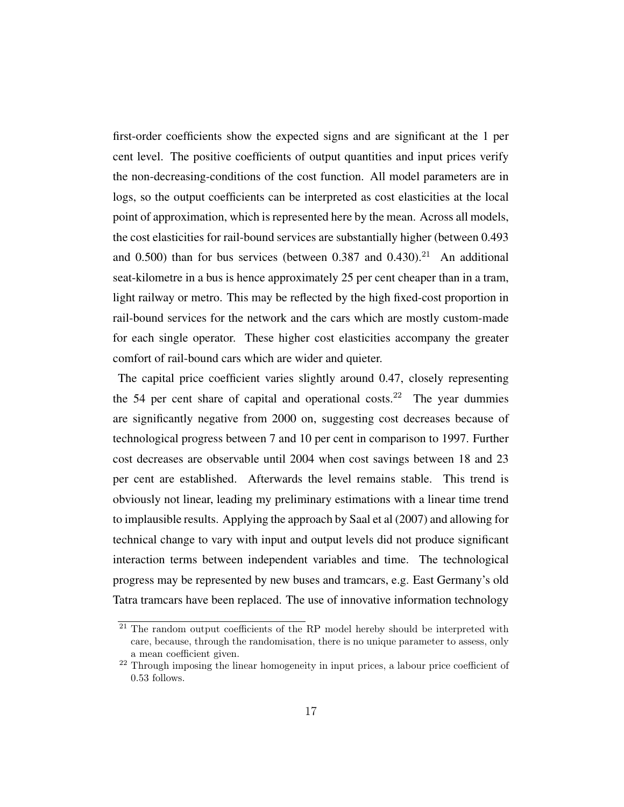first-order coefficients show the expected signs and are significant at the 1 per cent level. The positive coefficients of output quantities and input prices verify the non-decreasing-conditions of the cost function. All model parameters are in logs, so the output coefficients can be interpreted as cost elasticities at the local point of approximation, which is represented here by the mean. Across all models, the cost elasticities for rail-bound services are substantially higher (between 0.493 and  $0.500$ ) than for bus services (between  $0.387$  and  $0.430$ ).<sup>[21](#page-16-0)</sup> An additional seat-kilometre in a bus is hence approximately 25 per cent cheaper than in a tram, light railway or metro. This may be reflected by the high fixed-cost proportion in rail-bound services for the network and the cars which are mostly custom-made for each single operator. These higher cost elasticities accompany the greater comfort of rail-bound cars which are wider and quieter.

The capital price coefficient varies slightly around 0.47, closely representing the 54 per cent share of capital and operational costs.<sup>[22](#page-16-1)</sup> The year dummies are significantly negative from 2000 on, suggesting cost decreases because of technological progress between 7 and 10 per cent in comparison to 1997. Further cost decreases are observable until 2004 when cost savings between 18 and 23 per cent are established. Afterwards the level remains stable. This trend is obviously not linear, leading my preliminary estimations with a linear time trend to implausible results. Applying the approach by [Saal et al](#page-26-8) [\(2007\)](#page-26-8) and allowing for technical change to vary with input and output levels did not produce significant interaction terms between independent variables and time. The technological progress may be represented by new buses and tramcars, e.g. East Germany's old Tatra tramcars have been replaced. The use of innovative information technology

<span id="page-16-0"></span> $21$  The random output coefficients of the RP model hereby should be interpreted with care, because, through the randomisation, there is no unique parameter to assess, only a mean coefficient given.

<span id="page-16-1"></span><sup>22</sup> Through imposing the linear homogeneity in input prices, a labour price coefficient of 0.53 follows.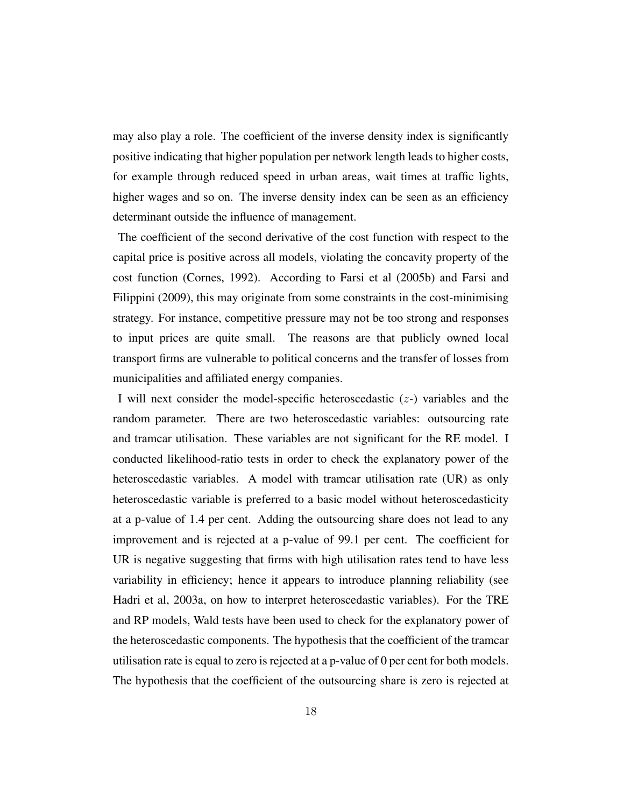may also play a role. The coefficient of the inverse density index is significantly positive indicating that higher population per network length leads to higher costs, for example through reduced speed in urban areas, wait times at traffic lights, higher wages and so on. The inverse density index can be seen as an efficiency determinant outside the influence of management.

The coefficient of the second derivative of the cost function with respect to the capital price is positive across all models, violating the concavity property of the cost function [\(Cornes, 1992\)](#page-23-8). According to [Farsi et al](#page-24-6) [\(2005b\)](#page-24-6) and [Farsi and](#page-23-4) [Filippini](#page-23-4) [\(2009\)](#page-23-4), this may originate from some constraints in the cost-minimising strategy. For instance, competitive pressure may not be too strong and responses to input prices are quite small. The reasons are that publicly owned local transport firms are vulnerable to political concerns and the transfer of losses from municipalities and affiliated energy companies.

I will next consider the model-specific heteroscedastic  $(z)$  variables and the random parameter. There are two heteroscedastic variables: outsourcing rate and tramcar utilisation. These variables are not significant for the RE model. I conducted likelihood-ratio tests in order to check the explanatory power of the heteroscedastic variables. A model with tramcar utilisation rate (UR) as only heteroscedastic variable is preferred to a basic model without heteroscedasticity at a p-value of 1.4 per cent. Adding the outsourcing share does not lead to any improvement and is rejected at a p-value of 99.1 per cent. The coefficient for UR is negative suggesting that firms with high utilisation rates tend to have less variability in efficiency; hence it appears to introduce planning reliability (see [Hadri et al, 2003a,](#page-25-8) on how to interpret heteroscedastic variables). For the TRE and RP models, Wald tests have been used to check for the explanatory power of the heteroscedastic components. The hypothesis that the coefficient of the tramcar utilisation rate is equal to zero is rejected at a p-value of 0 per cent for both models. The hypothesis that the coefficient of the outsourcing share is zero is rejected at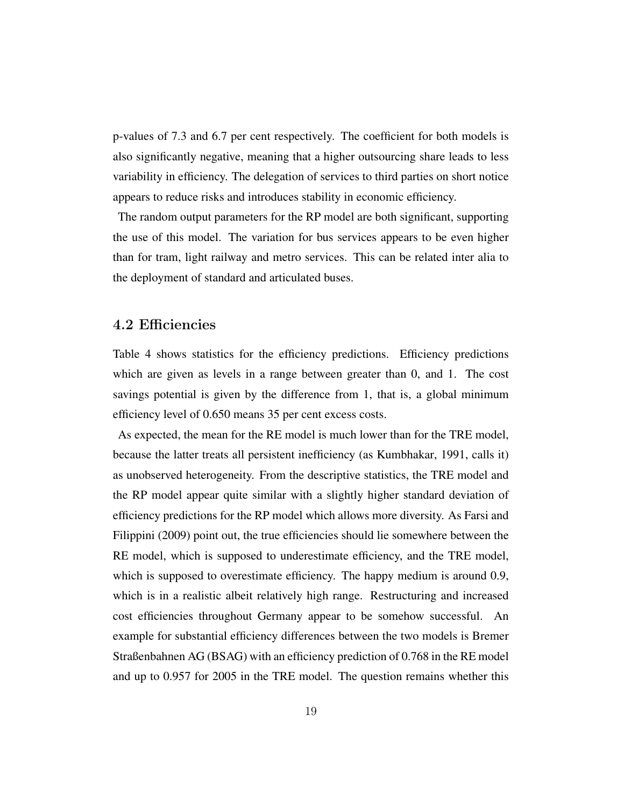p-values of 7.3 and 6.7 per cent respectively. The coefficient for both models is also significantly negative, meaning that a higher outsourcing share leads to less variability in efficiency. The delegation of services to third parties on short notice appears to reduce risks and introduces stability in economic efficiency.

The random output parameters for the RP model are both significant, supporting the use of this model. The variation for bus services appears to be even higher than for tram, light railway and metro services. This can be related inter alia to the deployment of standard and articulated buses.

#### 4.2 Efficiencies

Table [4](#page-31-0) shows statistics for the efficiency predictions. Efficiency predictions which are given as levels in a range between greater than 0, and 1. The cost savings potential is given by the difference from 1, that is, a global minimum efficiency level of 0.650 means 35 per cent excess costs.

As expected, the mean for the RE model is much lower than for the TRE model, because the latter treats all persistent inefficiency (as [Kumbhakar, 1991,](#page-25-6) calls it) as unobserved heterogeneity. From the descriptive statistics, the TRE model and the RP model appear quite similar with a slightly higher standard deviation of efficiency predictions for the RP model which allows more diversity. As [Farsi and](#page-23-4) [Filippini](#page-23-4) [\(2009\)](#page-23-4) point out, the true efficiencies should lie somewhere between the RE model, which is supposed to underestimate efficiency, and the TRE model, which is supposed to overestimate efficiency. The happy medium is around 0.9, which is in a realistic albeit relatively high range. Restructuring and increased cost efficiencies throughout Germany appear to be somehow successful. An example for substantial efficiency differences between the two models is Bremer Straßenbahnen AG (BSAG) with an efficiency prediction of 0.768 in the RE model and up to 0.957 for 2005 in the TRE model. The question remains whether this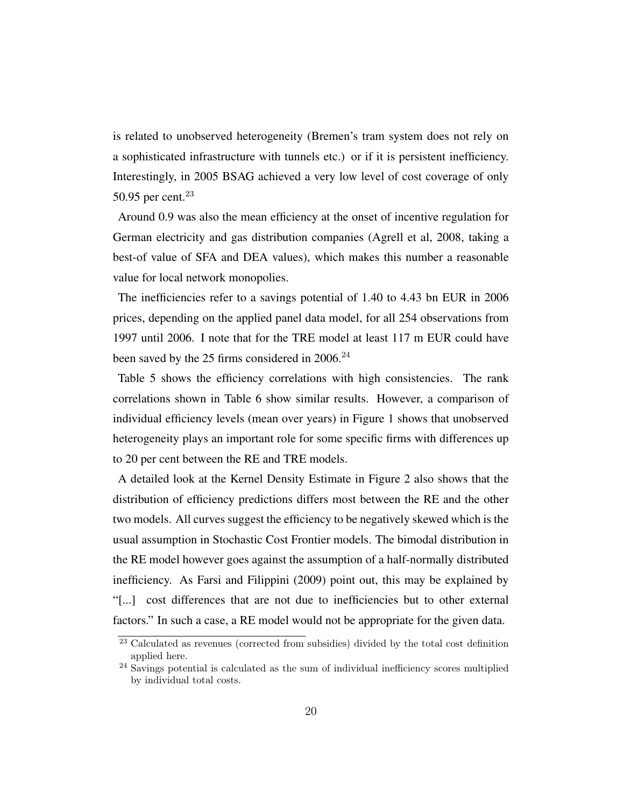is related to unobserved heterogeneity (Bremen's tram system does not rely on a sophisticated infrastructure with tunnels etc.) or if it is persistent inefficiency. Interestingly, in 2005 BSAG achieved a very low level of cost coverage of only 50.95 per cent. $23$ 

Around 0.9 was also the mean efficiency at the onset of incentive regulation for German electricity and gas distribution companies [\(Agrell et al, 2008,](#page-22-4) taking a best-of value of SFA and DEA values), which makes this number a reasonable value for local network monopolies.

The inefficiencies refer to a savings potential of 1.40 to 4.43 bn EUR in 2006 prices, depending on the applied panel data model, for all 254 observations from 1997 until 2006. I note that for the TRE model at least 117 m EUR could have been saved by the 25 firms considered in 2006.<sup>[24](#page-19-1)</sup>

Table [5](#page-31-1) shows the efficiency correlations with high consistencies. The rank correlations shown in Table [6](#page-31-2) show similar results. However, a comparison of individual efficiency levels (mean over years) in Figure [1](#page-27-6) shows that unobserved heterogeneity plays an important role for some specific firms with differences up to 20 per cent between the RE and TRE models.

A detailed look at the Kernel Density Estimate in Figure [2](#page-29-1) also shows that the distribution of efficiency predictions differs most between the RE and the other two models. All curves suggest the efficiency to be negatively skewed which is the usual assumption in Stochastic Cost Frontier models. The bimodal distribution in the RE model however goes against the assumption of a half-normally distributed inefficiency. As [Farsi and Filippini](#page-23-4) [\(2009\)](#page-23-4) point out, this may be explained by "[...] cost differences that are not due to inefficiencies but to other external factors." In such a case, a RE model would not be appropriate for the given data.

<span id="page-19-0"></span><sup>23</sup> Calculated as revenues (corrected from subsidies) divided by the total cost definition applied here.

<span id="page-19-1"></span><sup>24</sup> Savings potential is calculated as the sum of individual inefficiency scores multiplied by individual total costs.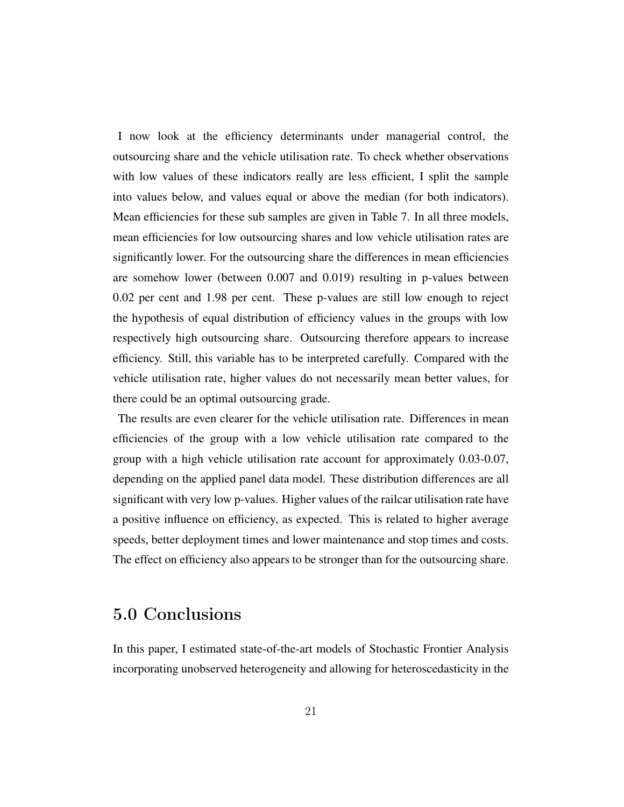I now look at the efficiency determinants under managerial control, the outsourcing share and the vehicle utilisation rate. To check whether observations with low values of these indicators really are less efficient, I split the sample into values below, and values equal or above the median (for both indicators). Mean efficiencies for these sub samples are given in Table [7.](#page-32-0) In all three models, mean efficiencies for low outsourcing shares and low vehicle utilisation rates are significantly lower. For the outsourcing share the differences in mean efficiencies are somehow lower (between 0.007 and 0.019) resulting in p-values between 0.02 per cent and 1.98 per cent. These p-values are still low enough to reject the hypothesis of equal distribution of efficiency values in the groups with low respectively high outsourcing share. Outsourcing therefore appears to increase efficiency. Still, this variable has to be interpreted carefully. Compared with the vehicle utilisation rate, higher values do not necessarily mean better values, for there could be an optimal outsourcing grade.

The results are even clearer for the vehicle utilisation rate. Differences in mean efficiencies of the group with a low vehicle utilisation rate compared to the group with a high vehicle utilisation rate account for approximately 0.03-0.07, depending on the applied panel data model. These distribution differences are all significant with very low p-values. Higher values of the railcar utilisation rate have a positive influence on efficiency, as expected. This is related to higher average speeds, better deployment times and lower maintenance and stop times and costs. The effect on efficiency also appears to be stronger than for the outsourcing share.

### 5.0 Conclusions

In this paper, I estimated state-of-the-art models of Stochastic Frontier Analysis incorporating unobserved heterogeneity and allowing for heteroscedasticity in the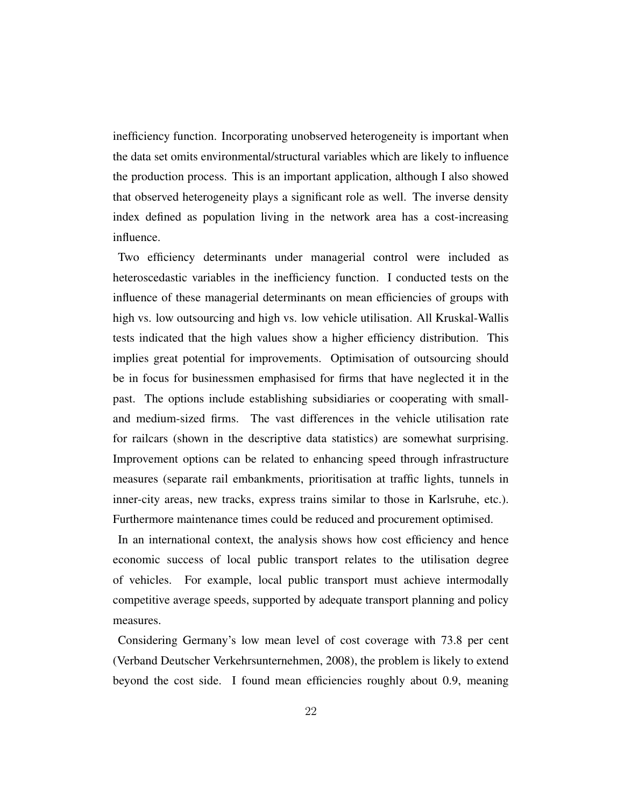inefficiency function. Incorporating unobserved heterogeneity is important when the data set omits environmental/structural variables which are likely to influence the production process. This is an important application, although I also showed that observed heterogeneity plays a significant role as well. The inverse density index defined as population living in the network area has a cost-increasing influence.

Two efficiency determinants under managerial control were included as heteroscedastic variables in the inefficiency function. I conducted tests on the influence of these managerial determinants on mean efficiencies of groups with high vs. low outsourcing and high vs. low vehicle utilisation. All Kruskal-Wallis tests indicated that the high values show a higher efficiency distribution. This implies great potential for improvements. Optimisation of outsourcing should be in focus for businessmen emphasised for firms that have neglected it in the past. The options include establishing subsidiaries or cooperating with smalland medium-sized firms. The vast differences in the vehicle utilisation rate for railcars (shown in the descriptive data statistics) are somewhat surprising. Improvement options can be related to enhancing speed through infrastructure measures (separate rail embankments, prioritisation at traffic lights, tunnels in inner-city areas, new tracks, express trains similar to those in Karlsruhe, etc.). Furthermore maintenance times could be reduced and procurement optimised.

In an international context, the analysis shows how cost efficiency and hence economic success of local public transport relates to the utilisation degree of vehicles. For example, local public transport must achieve intermodally competitive average speeds, supported by adequate transport planning and policy measures.

Considering Germany's low mean level of cost coverage with 73.8 per cent [\(Verband Deutscher Verkehrsunternehmen, 2008\)](#page-27-0), the problem is likely to extend beyond the cost side. I found mean efficiencies roughly about 0.9, meaning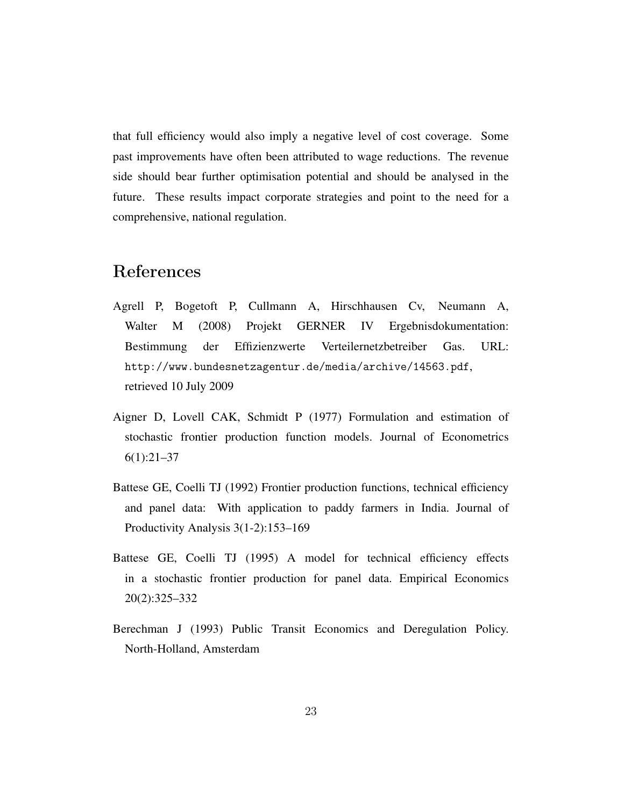that full efficiency would also imply a negative level of cost coverage. Some past improvements have often been attributed to wage reductions. The revenue side should bear further optimisation potential and should be analysed in the future. These results impact corporate strategies and point to the need for a comprehensive, national regulation.

### References

- <span id="page-22-4"></span>Agrell P, Bogetoft P, Cullmann A, Hirschhausen Cv, Neumann A, Walter M (2008) Projekt GERNER IV Ergebnisdokumentation: Bestimmung der Effizienzwerte Verteilernetzbetreiber Gas. URL: <http://www.bundesnetzagentur.de/media/archive/14563.pdf>, retrieved 10 July 2009
- <span id="page-22-1"></span>Aigner D, Lovell CAK, Schmidt P (1977) Formulation and estimation of stochastic frontier production function models. Journal of Econometrics 6(1):21–37
- <span id="page-22-3"></span>Battese GE, Coelli TJ (1992) Frontier production functions, technical efficiency and panel data: With application to paddy farmers in India. Journal of Productivity Analysis 3(1-2):153–169
- <span id="page-22-0"></span>Battese GE, Coelli TJ (1995) A model for technical efficiency effects in a stochastic frontier production for panel data. Empirical Economics 20(2):325–332
- <span id="page-22-2"></span>Berechman J (1993) Public Transit Economics and Deregulation Policy. North-Holland, Amsterdam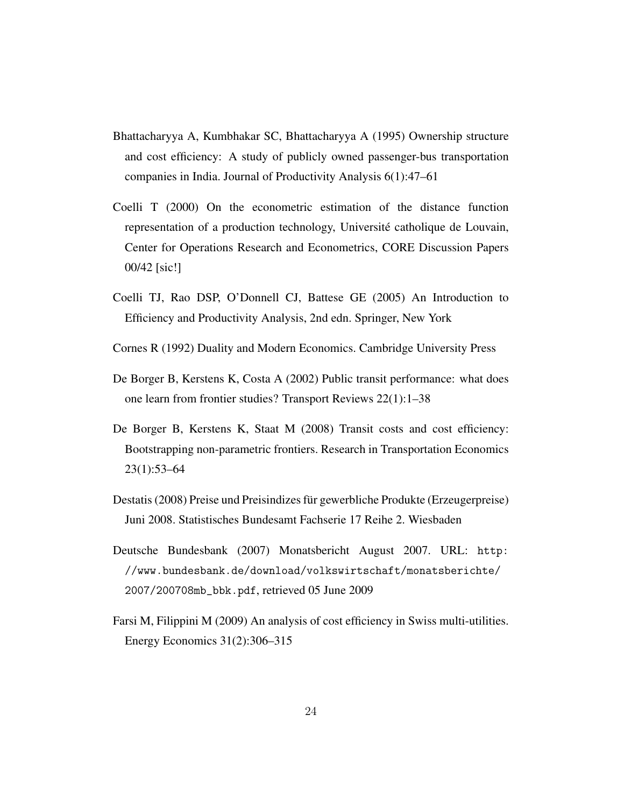- <span id="page-23-0"></span>Bhattacharyya A, Kumbhakar SC, Bhattacharyya A (1995) Ownership structure and cost efficiency: A study of publicly owned passenger-bus transportation companies in India. Journal of Productivity Analysis 6(1):47–61
- <span id="page-23-5"></span>Coelli T (2000) On the econometric estimation of the distance function representation of a production technology, Université catholique de Louvain, Center for Operations Research and Econometrics, CORE Discussion Papers 00/42 [sic!]
- <span id="page-23-1"></span>Coelli TJ, Rao DSP, O'Donnell CJ, Battese GE (2005) An Introduction to Efficiency and Productivity Analysis, 2nd edn. Springer, New York
- <span id="page-23-8"></span>Cornes R (1992) Duality and Modern Economics. Cambridge University Press
- <span id="page-23-3"></span>De Borger B, Kerstens K, Costa A (2002) Public transit performance: what does one learn from frontier studies? Transport Reviews 22(1):1–38
- <span id="page-23-2"></span>De Borger B, Kerstens K, Staat M (2008) Transit costs and cost efficiency: Bootstrapping non-parametric frontiers. Research in Transportation Economics 23(1):53–64
- <span id="page-23-6"></span>Destatis (2008) Preise und Preisindizes für gewerbliche Produkte (Erzeugerpreise) Juni 2008. Statistisches Bundesamt Fachserie 17 Reihe 2. Wiesbaden
- <span id="page-23-7"></span>Deutsche Bundesbank (2007) Monatsbericht August 2007. URL: [http:](http://www.bundesbank.de/download/volkswirtschaft/monatsberichte/2007/200708mb_bbk.pdf) [//www.bundesbank.de/download/volkswirtschaft/monatsberichte/](http://www.bundesbank.de/download/volkswirtschaft/monatsberichte/2007/200708mb_bbk.pdf) [2007/200708mb\\_bbk.pdf](http://www.bundesbank.de/download/volkswirtschaft/monatsberichte/2007/200708mb_bbk.pdf), retrieved 05 June 2009
- <span id="page-23-4"></span>Farsi M, Filippini M (2009) An analysis of cost efficiency in Swiss multi-utilities. Energy Economics 31(2):306–315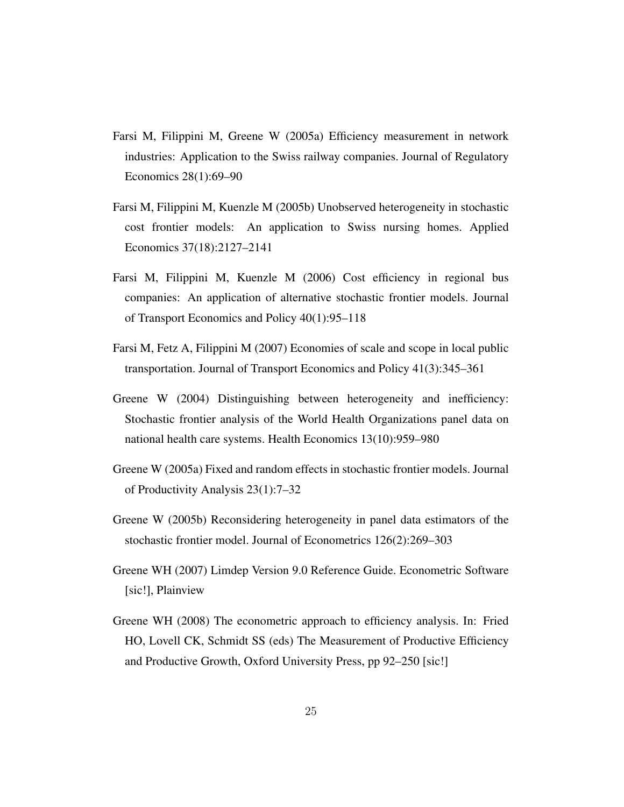- <span id="page-24-5"></span>Farsi M, Filippini M, Greene W (2005a) Efficiency measurement in network industries: Application to the Swiss railway companies. Journal of Regulatory Economics 28(1):69–90
- <span id="page-24-6"></span>Farsi M, Filippini M, Kuenzle M (2005b) Unobserved heterogeneity in stochastic cost frontier models: An application to Swiss nursing homes. Applied Economics 37(18):2127–2141
- <span id="page-24-1"></span>Farsi M, Filippini M, Kuenzle M (2006) Cost efficiency in regional bus companies: An application of alternative stochastic frontier models. Journal of Transport Economics and Policy 40(1):95–118
- <span id="page-24-4"></span>Farsi M, Fetz A, Filippini M (2007) Economies of scale and scope in local public transportation. Journal of Transport Economics and Policy 41(3):345–361
- <span id="page-24-2"></span>Greene W (2004) Distinguishing between heterogeneity and inefficiency: Stochastic frontier analysis of the World Health Organizations panel data on national health care systems. Health Economics 13(10):959–980
- <span id="page-24-8"></span>Greene W (2005a) Fixed and random effects in stochastic frontier models. Journal of Productivity Analysis 23(1):7–32
- <span id="page-24-3"></span>Greene W (2005b) Reconsidering heterogeneity in panel data estimators of the stochastic frontier model. Journal of Econometrics 126(2):269–303
- <span id="page-24-7"></span>Greene WH (2007) Limdep Version 9.0 Reference Guide. Econometric Software [sic!], Plainview
- <span id="page-24-0"></span>Greene WH (2008) The econometric approach to efficiency analysis. In: Fried HO, Lovell CK, Schmidt SS (eds) The Measurement of Productive Efficiency and Productive Growth, Oxford University Press, pp 92–250 [sic!]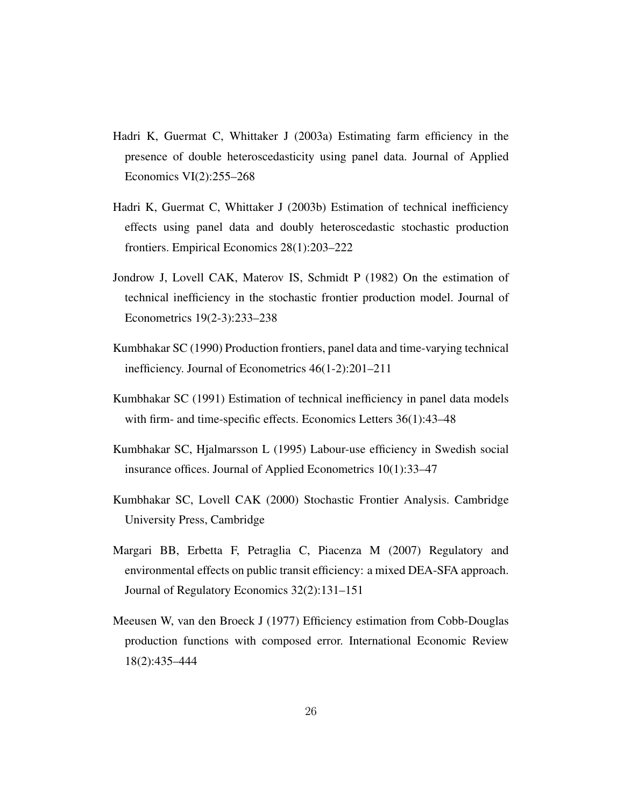- <span id="page-25-8"></span>Hadri K, Guermat C, Whittaker J (2003a) Estimating farm efficiency in the presence of double heteroscedasticity using panel data. Journal of Applied Economics VI(2):255–268
- <span id="page-25-0"></span>Hadri K, Guermat C, Whittaker J (2003b) Estimation of technical inefficiency effects using panel data and doubly heteroscedastic stochastic production frontiers. Empirical Economics 28(1):203–222
- <span id="page-25-5"></span>Jondrow J, Lovell CAK, Materov IS, Schmidt P (1982) On the estimation of technical inefficiency in the stochastic frontier production model. Journal of Econometrics 19(2-3):233–238
- <span id="page-25-4"></span>Kumbhakar SC (1990) Production frontiers, panel data and time-varying technical inefficiency. Journal of Econometrics 46(1-2):201–211
- <span id="page-25-6"></span>Kumbhakar SC (1991) Estimation of technical inefficiency in panel data models with firm- and time-specific effects. Economics Letters 36(1):43–48
- <span id="page-25-7"></span>Kumbhakar SC, Hjalmarsson L (1995) Labour-use efficiency in Swedish social insurance offices. Journal of Applied Econometrics 10(1):33–47
- <span id="page-25-2"></span>Kumbhakar SC, Lovell CAK (2000) Stochastic Frontier Analysis. Cambridge University Press, Cambridge
- <span id="page-25-1"></span>Margari BB, Erbetta F, Petraglia C, Piacenza M (2007) Regulatory and environmental effects on public transit efficiency: a mixed DEA-SFA approach. Journal of Regulatory Economics 32(2):131–151
- <span id="page-25-3"></span>Meeusen W, van den Broeck J (1977) Efficiency estimation from Cobb-Douglas production functions with composed error. International Economic Review 18(2):435–444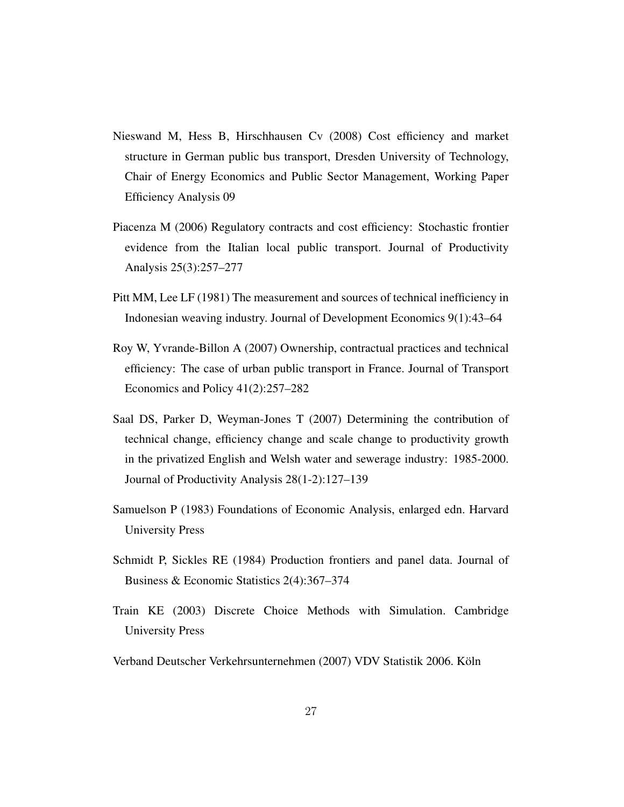- <span id="page-26-3"></span>Nieswand M, Hess B, Hirschhausen Cv (2008) Cost efficiency and market structure in German public bus transport, Dresden University of Technology, Chair of Energy Economics and Public Sector Management, Working Paper Efficiency Analysis 09
- <span id="page-26-5"></span>Piacenza M (2006) Regulatory contracts and cost efficiency: Stochastic frontier evidence from the Italian local public transport. Journal of Productivity Analysis 25(3):257–277
- <span id="page-26-1"></span>Pitt MM, Lee LF (1981) The measurement and sources of technical inefficiency in Indonesian weaving industry. Journal of Development Economics 9(1):43–64
- <span id="page-26-4"></span>Roy W, Yvrande-Billon A (2007) Ownership, contractual practices and technical efficiency: The case of urban public transport in France. Journal of Transport Economics and Policy 41(2):257–282
- <span id="page-26-8"></span>Saal DS, Parker D, Weyman-Jones T (2007) Determining the contribution of technical change, efficiency change and scale change to productivity growth in the privatized English and Welsh water and sewerage industry: 1985-2000. Journal of Productivity Analysis 28(1-2):127–139
- <span id="page-26-0"></span>Samuelson P (1983) Foundations of Economic Analysis, enlarged edn. Harvard University Press
- <span id="page-26-2"></span>Schmidt P, Sickles RE (1984) Production frontiers and panel data. Journal of Business & Economic Statistics 2(4):367–374
- <span id="page-26-7"></span>Train KE (2003) Discrete Choice Methods with Simulation. Cambridge University Press
- <span id="page-26-6"></span>Verband Deutscher Verkehrsunternehmen (2007) VDV Statistik 2006. Köln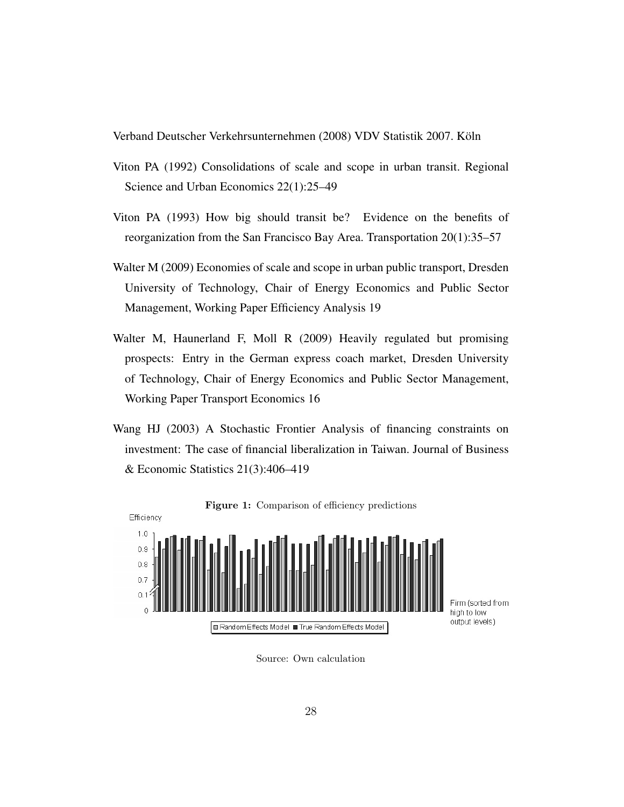<span id="page-27-0"></span>Verband Deutscher Verkehrsunternehmen (2008) VDV Statistik 2007. Köln

- <span id="page-27-1"></span>Viton PA (1992) Consolidations of scale and scope in urban transit. Regional Science and Urban Economics 22(1):25–49
- <span id="page-27-2"></span>Viton PA (1993) How big should transit be? Evidence on the benefits of reorganization from the San Francisco Bay Area. Transportation 20(1):35–57
- <span id="page-27-3"></span>Walter M (2009) Economies of scale and scope in urban public transport, Dresden University of Technology, Chair of Energy Economics and Public Sector Management, Working Paper Efficiency Analysis 19
- <span id="page-27-5"></span>Walter M, Haunerland F, Moll R (2009) Heavily regulated but promising prospects: Entry in the German express coach market, Dresden University of Technology, Chair of Energy Economics and Public Sector Management, Working Paper Transport Economics 16
- <span id="page-27-4"></span>Wang HJ (2003) A Stochastic Frontier Analysis of financing constraints on investment: The case of financial liberalization in Taiwan. Journal of Business & Economic Statistics 21(3):406–419



<span id="page-27-6"></span>Source: Own calculation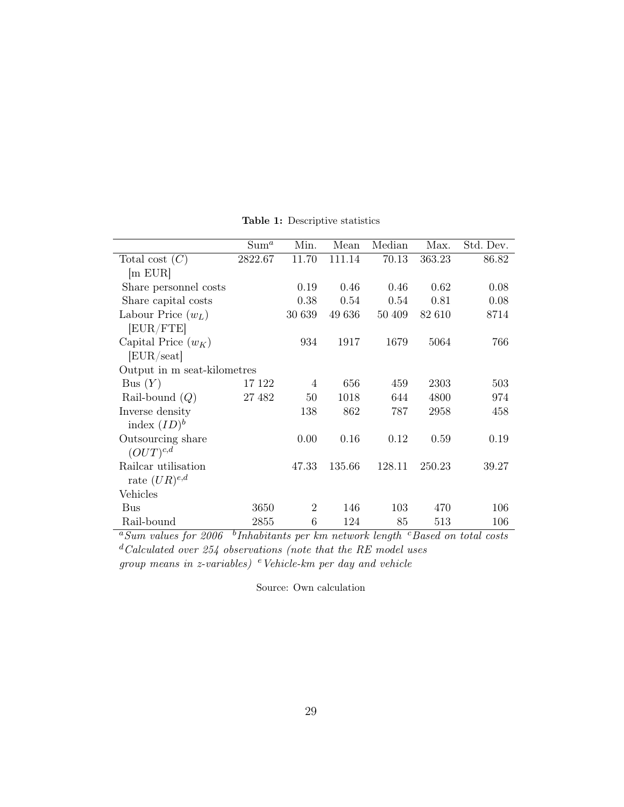|                             | Sum <sup>a</sup> | Min.           | Mean   | Median | Max.   | Std. Dev. |
|-----------------------------|------------------|----------------|--------|--------|--------|-----------|
| Total cost $(C)$            | 2822.67          | 11.70          | 111.14 | 70.13  | 363.23 | 86.82     |
| m EUR                       |                  |                |        |        |        |           |
| Share personnel costs       |                  | 0.19           | 0.46   | 0.46   | 0.62   | 0.08      |
| Share capital costs         |                  | 0.38           | 0.54   | 0.54   | 0.81   | 0.08      |
| Labour Price $(w_L)$        |                  | 30 639         | 49 636 | 50 409 | 82 610 | 8714      |
| [EUR/FTE]                   |                  |                |        |        |        |           |
| Capital Price $(w_K)$       |                  | 934            | 1917   | 1679   | 5064   | 766       |
| [EUR/seat]                  |                  |                |        |        |        |           |
| Output in m seat-kilometres |                  |                |        |        |        |           |
| Bus $(Y)$                   | 17 122           | 4              | 656    | 459    | 2303   | 503       |
| Rail-bound $(Q)$            | 27 482           | 50             | 1018   | 644    | 4800   | 974       |
| Inverse density             |                  | 138            | 862    | 787    | 2958   | 458       |
| index $(ID)^b$              |                  |                |        |        |        |           |
| Outsourcing share           |                  | 0.00           | 0.16   | 0.12   | 0.59   | 0.19      |
| $(OUT)^{c,d}$               |                  |                |        |        |        |           |
| Railcar utilisation         |                  | 47.33          | 135.66 | 128.11 | 250.23 | 39.27     |
| rate $(UR)^{e,d}$           |                  |                |        |        |        |           |
| Vehicles                    |                  |                |        |        |        |           |
| Bus                         | 3650             | $\overline{2}$ | 146    | 103    | 470    | 106       |
| Rail-bound                  | 2855             | $\,6$          | 124    | 85     | 513    | 106       |

<span id="page-28-0"></span>Table 1: Descriptive statistics

 $a_{Sum}$  values for 2006  $b$ Inhabitants per km network length  $c$ Based on total costs  $d$  Calculated over 254 observations (note that the RE model uses group means in z-variables)  $e$  Vehicle-km per day and vehicle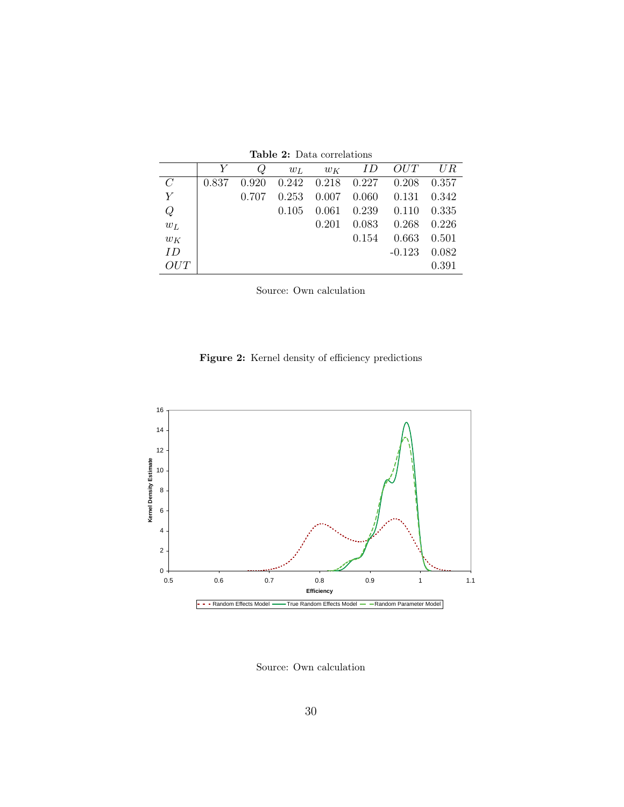|                |       |       | $w_L$ | $w_K$                   | ID    | OUT      | UR    |
|----------------|-------|-------|-------|-------------------------|-------|----------|-------|
| $\mathcal{C}$  | 0.837 | 0.920 |       | $0.242$ $0.218$ $0.227$ |       | 0.208    | 0.357 |
| $\overline{Y}$ |       | 0.707 | 0.253 | 0.007                   | 0.060 | 0.131    | 0.342 |
| Q              |       |       | 0.105 | 0.061                   | 0.239 | 0.110    | 0.335 |
| $w_L$          |       |       |       | 0.201                   | 0.083 | 0.268    | 0.226 |
| $w_K$          |       |       |       |                         | 0.154 | 0.663    | 0.501 |
| ID             |       |       |       |                         |       | $-0.123$ | 0.082 |
| OUT            |       |       |       |                         |       |          | 0.391 |

<span id="page-29-0"></span>Table 2: Data correlations

Figure 2: Kernel density of efficiency predictions



<span id="page-29-1"></span>Source: Own calculation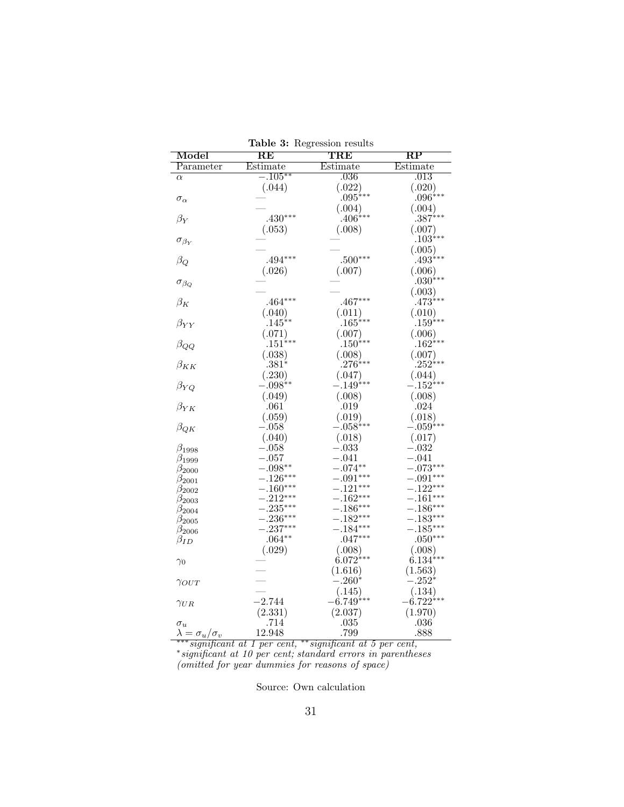| Model                           | $\overline{\text{RE}}$ | $_{\rm TRE}$          | $\overline{\text{RP}}$ |
|---------------------------------|------------------------|-----------------------|------------------------|
| Parameter                       | Estimate               | Estimate              | Estimate               |
| $\alpha$                        | $-.105**$              | .036                  | .013                   |
|                                 | (.044)                 | (.022)                | (.020)                 |
| $\sigma_\alpha$                 |                        | $.095***$             | $.096^{***}$           |
|                                 |                        | (.004)                | (.004)                 |
| $\beta_Y$                       | $.430***$              | $.406***$             | $387^{***}$            |
|                                 | (.053)                 | (.008)                | (.007)                 |
| $\sigma_{\beta_Y}$              |                        |                       | $.103***$              |
|                                 |                        |                       | (.005)                 |
| $\beta_Q$                       | $.494***$              | $.500***$             | $.493***$              |
|                                 | (.026)                 | (.007)                | (.006)                 |
| $\sigma_{\beta_Q}$              |                        |                       | $.030^{***}$           |
|                                 |                        |                       | (.003)                 |
| $\beta_K$                       | $.464***$              | $.467***$             | $.473***$              |
|                                 | (.040)                 | (.011)                | (.010)                 |
| $\beta_{YY}$                    | $.145^{**}$            | $165^{***}$           | $159***$               |
|                                 | (.071)                 | (.007)                | (.006)                 |
| $\beta_{QQ}$                    | $.151^{***}$           | $.150^{***}$          | $.162^{***}$           |
|                                 | (.038)                 | (.008)                | (.007)                 |
| $\beta_{KK}$                    | $.381^{*}$             | $276***$              | $252^{***}$            |
|                                 | (.230)                 | (.047)                | (.044)                 |
| $\beta_{YQ}$                    | $-.098**$              | $-.149***$            | $-.152***$             |
|                                 | (.049)                 | (.008)                | (.008)                 |
| $\beta_{YK}$                    | .061                   | .019                  | .024                   |
|                                 | (.059)                 | (.019)                | (.018)                 |
| $\beta_{QK}$                    | $-.058$                | $-.058***$            | $-.059^{***}$          |
|                                 | (.040)                 | (.018)                | (.017)                 |
| $\beta_{1998}$                  | $-.058$                | $-.033$               | $-.032$                |
| $\beta_{1999}$                  | $-.057$                | $-.041$               | $-.041$                |
| $\beta_{2000}$                  | $-.098**$              | $-.074**$             | $-.073***$             |
| $\beta_{2001}$                  | $-.126***$             | $-.091***$            | $-.091***$             |
| $\beta_{2002}$                  | $-.160***$             | $-.121***$            | $-.122***$             |
| $\beta_{2003}$                  | $-.212***$             | $-.162***$            | $-.161***$             |
| $\beta_{2004}$                  | $-.235***$             | $-.186***$            | $-.186***$             |
| $\beta_{2005}$                  | $-.236***$             | $-.182***$            | $-.183***$             |
| $\beta_{2006}$                  | $-.237***$             | $-.184***$            | $-.185***$             |
| $\beta_{ID}$                    | $.064***$              | $.047***$             | $.050***$              |
|                                 | (.029)                 | $(0.008)$<br>6.072*** | (.008)                 |
| $\gamma_0$                      |                        |                       | $6.134***$             |
|                                 |                        | (1.616)               | (1.563)                |
| $\gamma_{OUT}$                  |                        | $-.260*$              | $-.252^{*}$            |
|                                 |                        | (.145)                | (.134)                 |
| $\gamma_{UR}$                   | $-2.744$               | $-6.749^{***}$        | $-6.722***$            |
|                                 | (2.331)                | (2.037)               | (1.970)                |
| $\sigma_u$                      | .714                   | .035                  | .036                   |
| $\lambda = \sigma_u / \sigma_v$ | 12.948                 | .799                  | .888                   |

<span id="page-30-0"></span>Table 3: Regression results

∗∗∗significant at 1 per cent, ∗∗significant at 5 per cent, ∗ significant at 10 per cent; standard errors in parentheses (omitted for year dummies for reasons of space)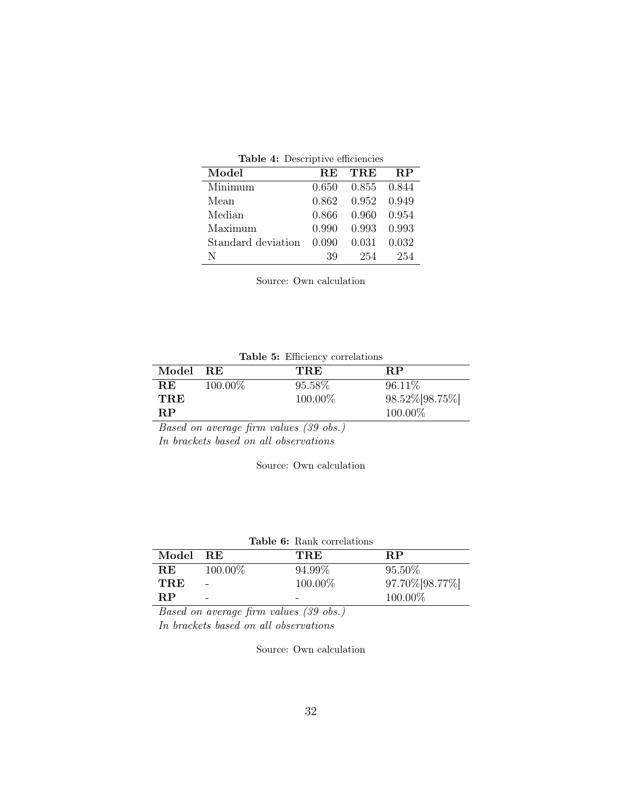<span id="page-31-0"></span>

| Table 4: Descriptive efficiencies |  |  |
|-----------------------------------|--|--|
|-----------------------------------|--|--|

| Model              | <b>RE</b> | TRE   | $\bf RP$ |
|--------------------|-----------|-------|----------|
| Minimum            | 0.650     | 0.855 | 0.844    |
| Mean               | 0.862     | 0.952 | 0.949    |
| Median             | 0.866     | 0.960 | 0.954    |
| Maximum            | 0.990     | 0.993 | 0.993    |
| Standard deviation | 0.090     | 0.031 | 0.032    |
| N                  | 39        | 254   | 254      |

Source: Own calculation

<span id="page-31-1"></span>

|  |  |  | Table 5: Efficiency correlations |
|--|--|--|----------------------------------|
|--|--|--|----------------------------------|

| Model RE |         | <b>TRE</b> | <b>RP</b>         |
|----------|---------|------------|-------------------|
| R.E      | 100.00% | 95.58%     | 96.11\%           |
| TRE      |         | 100.00%    | 98.52\% [98.75\%] |
| RР       |         |            | 100.00%           |

Based on average firm values (39 obs.) In brackets based on all observations

Source: Own calculation

<span id="page-31-2"></span>

|  | <b>Table 6:</b> Rank correlations |
|--|-----------------------------------|
|  |                                   |

| Model      | - R.E   | TRE     | RР              |
|------------|---------|---------|-----------------|
| R.E        | 100.00% | 94.99%  | 95.50%          |
| <b>TRE</b> |         | 100.00% | 97.70% [98.77%] |
| $\bf RP$   | -       | -       | 100.00%         |

Based on average firm values (39 obs.) In brackets based on all observations